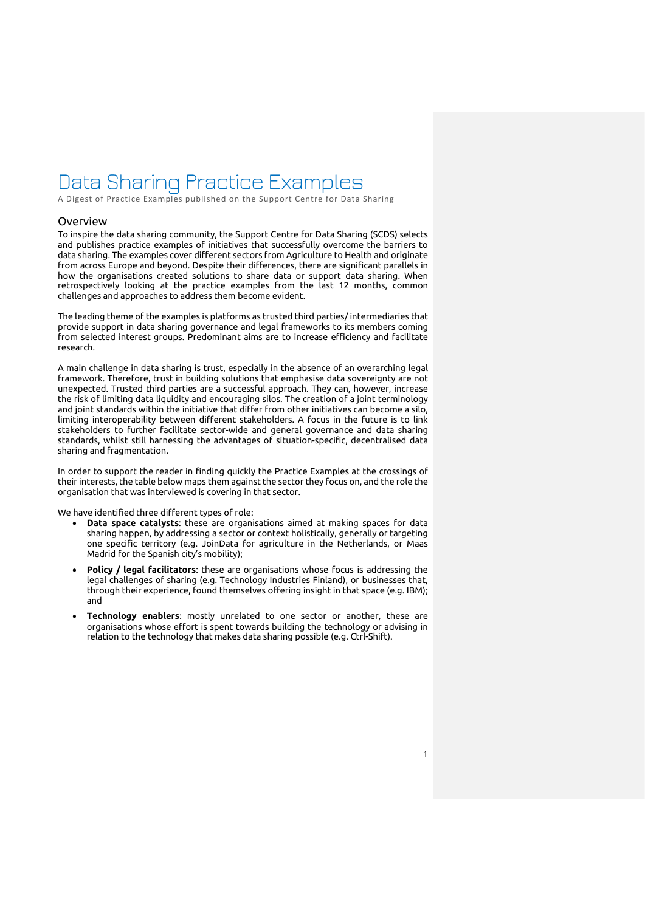# Data Sharing Practice Examples

A Digest of Practice Examples published on the Support Centre for Data Sharing

### <span id="page-0-0"></span>Overview

To inspire the data sharing community, the Support Centre for Data Sharing (SCDS) selects and publishes practice examples of initiatives that successfully overcome the barriers to data sharing. The examples cover different sectors from Agriculture to Health and originate from across Europe and beyond. Despite their differences, there are significant parallels in how the organisations created solutions to share data or support data sharing. When retrospectively looking at the practice examples from the last 12 months, common challenges and approaches to address them become evident.

The leading theme of the examples is platforms as trusted third parties/ intermediaries that provide support in data sharing governance and legal frameworks to its members coming from selected interest groups. Predominant aims are to increase efficiency and facilitate research.

A main challenge in data sharing is trust, especially in the absence of an overarching legal framework. Therefore, trust in building solutions that emphasise data sovereignty are not unexpected. Trusted third parties are a successful approach. They can, however, increase the risk of limiting data liquidity and encouraging silos. The creation of a joint terminology and joint standards within the initiative that differ from other initiatives can become a silo, limiting interoperability between different stakeholders. A focus in the future is to link stakeholders to further facilitate sector-wide and general governance and data sharing standards, whilst still harnessing the advantages of situation-specific, decentralised data sharing and fragmentation.

In order to support the reader in finding quickly the Practice Examples at the crossings of their interests, the table below maps them against the sector they focus on, and the role the organisation that was interviewed is covering in that sector.

We have identified three different types of role:

- **Data space catalysts**: these are organisations aimed at making spaces for data sharing happen, by addressing a sector or context holistically, generally or targeting one specific territory (e.g. JoinData for agriculture in the Netherlands, or Maas Madrid for the Spanish city's mobility);
- **Policy / legal facilitators**: these are organisations whose focus is addressing the legal challenges of sharing (e.g. Technology Industries Finland), or businesses that, through their experience, found themselves offering insight in that space (e.g. IBM); and
- **Technology enablers**: mostly unrelated to one sector or another, these are organisations whose effort is spent towards building the technology or advising in relation to the technology that makes data sharing possible (e.g. Ctrl-Shift).

1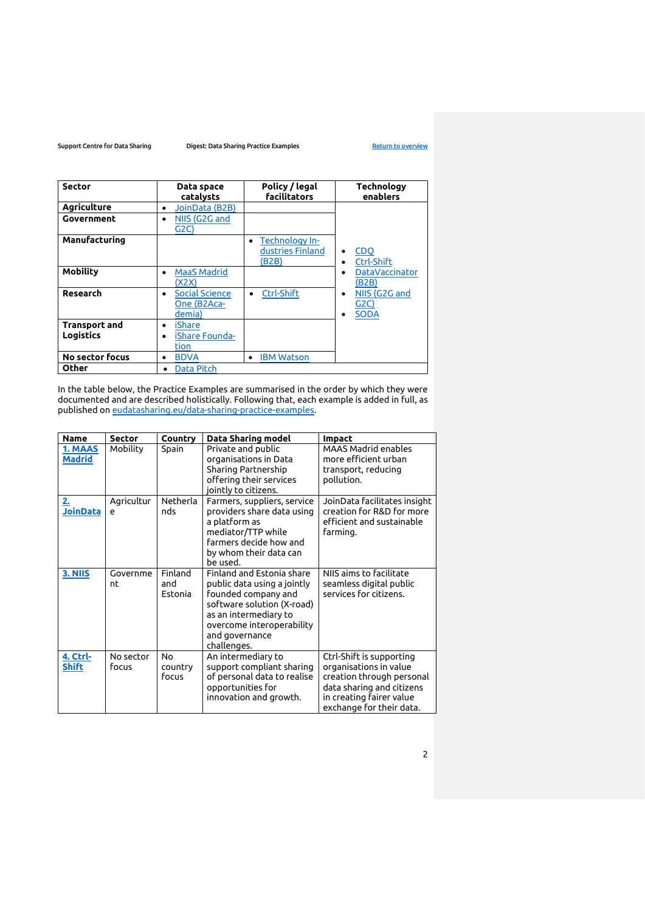| <b>Sector</b>                            | Data space<br>catalysts                                     | Policy / legal<br><b>facilitators</b>       | <b>Technology</b><br>enablers            |
|------------------------------------------|-------------------------------------------------------------|---------------------------------------------|------------------------------------------|
| <b>Agriculture</b>                       | JoinData (B2B)<br>٠                                         |                                             |                                          |
| Government                               | NIIS (G2G and<br>$\bullet$<br>G2C)                          |                                             |                                          |
| Manufacturing                            |                                                             | Technology In-<br>dustries Finland<br>(B2B) | <b>CDQ</b><br>٠<br>Ctrl-Shift            |
| Mobility                                 | <b>MaaS Madrid</b><br>$\bullet$<br>(X2X)                    |                                             | <b>DataVaccinator</b><br>(B2B)           |
| Research                                 | <b>Social Science</b><br>$\bullet$<br>One (B2Aca-<br>demia) | Ctrl-Shift<br>$\bullet$                     | NIIS (G2G and<br>٠<br>G2C<br><b>SODA</b> |
| <b>Transport and</b><br><b>Logistics</b> | iShare<br>$\bullet$<br>iShare Founda-<br>$\bullet$<br>tion  |                                             |                                          |
| No sector focus                          | <b>BDVA</b><br>$\bullet$                                    | <b>IBM Watson</b><br>$\bullet$              |                                          |
| Other                                    | Data Pitch<br>٠                                             |                                             |                                          |

In the table below, the Practice Examples are summarised in the order by which they were documented and are described holistically. Following that, each example is added in full, as published on [eudatasharing.eu/data-sharing-practice-examples.](https://eudatasharing.eu/data-sharing-practice-examples)

| <b>Name</b>                  | <b>Sector</b>      | Country                            | Data Sharing model                                                                                                                                                                                   | <b>Impact</b>                                                                                                                                                        |
|------------------------------|--------------------|------------------------------------|------------------------------------------------------------------------------------------------------------------------------------------------------------------------------------------------------|----------------------------------------------------------------------------------------------------------------------------------------------------------------------|
| 1. MAAS<br><b>Madrid</b>     | Mobility           | Spain                              | Private and public<br>organisations in Data<br>Sharing Partnership<br>offering their services<br>jointly to citizens.                                                                                | <b>MAAS Madrid enables</b><br>more efficient urban<br>transport, reducing<br>pollution.                                                                              |
| <u>2.</u><br><b>JoinData</b> | Agricultur<br>e    | Netherla<br>nds                    | Farmers, suppliers, service<br>providers share data using<br>a platform as<br>mediator/TTP while<br>farmers decide how and<br>by whom their data can<br>be used.                                     | JoinData facilitates insight<br>creation for R&D for more<br>efficient and sustainable<br>farming.                                                                   |
| 3. NIIS                      | Governme<br>nt     | Finland<br>and<br>Estonia          | Finland and Estonia share<br>public data using a jointly<br>founded company and<br>software solution (X-road)<br>as an intermediary to<br>overcome interoperability<br>and governance<br>challenges. | NIIS aims to facilitate<br>seamless digital public<br>services for citizens.                                                                                         |
| 4. Ctrl-<br><b>Shift</b>     | No sector<br>focus | N <sub>0</sub><br>country<br>focus | An intermediary to<br>support compliant sharing<br>of personal data to realise<br>opportunities for<br>innovation and growth.                                                                        | Ctrl-Shift is supporting<br>organisations in value<br>creation through personal<br>data sharing and citizens<br>in creating fairer value<br>exchange for their data. |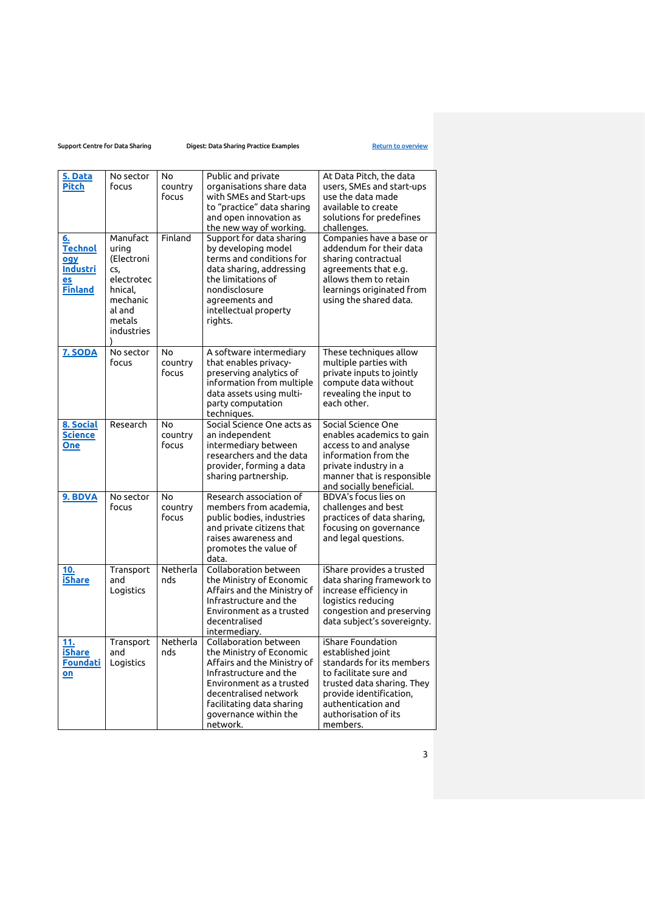| 5. Data<br>Pitch                                                       | No sector<br>focus                                                                                                 | No<br>country<br>focus | Public and private<br>organisations share data<br>with SMEs and Start-ups<br>to "practice" data sharing<br>and open innovation as<br>the new way of working.                                                                      | At Data Pitch, the data<br>users, SMEs and start-ups<br>use the data made<br>available to create<br>solutions for predefines<br>challenges.                                                                      |
|------------------------------------------------------------------------|--------------------------------------------------------------------------------------------------------------------|------------------------|-----------------------------------------------------------------------------------------------------------------------------------------------------------------------------------------------------------------------------------|------------------------------------------------------------------------------------------------------------------------------------------------------------------------------------------------------------------|
| 6.<br><b>Technol</b><br>ogy<br><b>Industri</b><br>es<br><b>Finland</b> | Manufact<br>urina<br>(Electroni<br>CS.<br>electrotec<br>hnical.<br>mechanic<br>al and<br>metals<br>industries<br>λ | Finland                | Support for data sharing<br>by developing model<br>terms and conditions for<br>data sharing, addressing<br>the limitations of<br>nondisclosure<br>agreements and<br>intellectual property<br>rights.                              | Companies have a base or<br>addendum for their data<br>sharing contractual<br>agreements that e.g.<br>allows them to retain<br>learnings originated from<br>using the shared data.                               |
| 7. SODA                                                                | No sector<br>focus                                                                                                 | No<br>country<br>focus | A software intermediary<br>that enables privacy-<br>preserving analytics of<br>information from multiple<br>data assets using multi-<br>party computation<br>techniques.                                                          | These techniques allow<br>multiple parties with<br>private inputs to jointly<br>compute data without<br>revealing the input to<br>each other.                                                                    |
| 8. Social<br><b>Science</b><br>One                                     | Research                                                                                                           | No<br>country<br>focus | Social Science One acts as<br>an independent<br>intermediary between<br>researchers and the data<br>provider, forming a data<br>sharing partnership.                                                                              | Social Science One<br>enables academics to gain<br>access to and analyse<br>information from the<br>private industry in a<br>manner that is responsible<br>and socially beneficial.                              |
| 9. BDVA                                                                | No sector<br>focus                                                                                                 | No<br>country<br>focus | Research association of<br>members from academia,<br>public bodies, industries<br>and private citizens that<br>raises awareness and<br>promotes the value of<br>data.                                                             | BDVA's focus lies on<br>challenges and best<br>practices of data sharing,<br>focusing on governance<br>and legal questions.                                                                                      |
| 10.<br>iShare                                                          | Transport<br>and<br>Logistics                                                                                      | Netherla<br>nds        | Collaboration between<br>the Ministry of Economic<br>Affairs and the Ministry of<br>Infrastructure and the<br>Environment as a trusted<br>decentralised<br>intermediary.                                                          | iShare provides a trusted<br>data sharing framework to<br>increase efficiency in<br>logistics reducing<br>congestion and preserving<br>data subject's sovereignty.                                               |
| 11.<br><b>iShare</b><br><b>Foundati</b><br>on                          | Transport<br>and<br>Logistics                                                                                      | Netherla<br>nds        | Collaboration between<br>the Ministry of Economic<br>Affairs and the Ministry of<br>Infrastructure and the<br>Environment as a trusted<br>decentralised network<br>facilitating data sharing<br>governance within the<br>network. | iShare Foundation<br>established joint<br>standards for its members<br>to facilitate sure and<br>trusted data sharing. They<br>provide identification,<br>authentication and<br>authorisation of its<br>members. |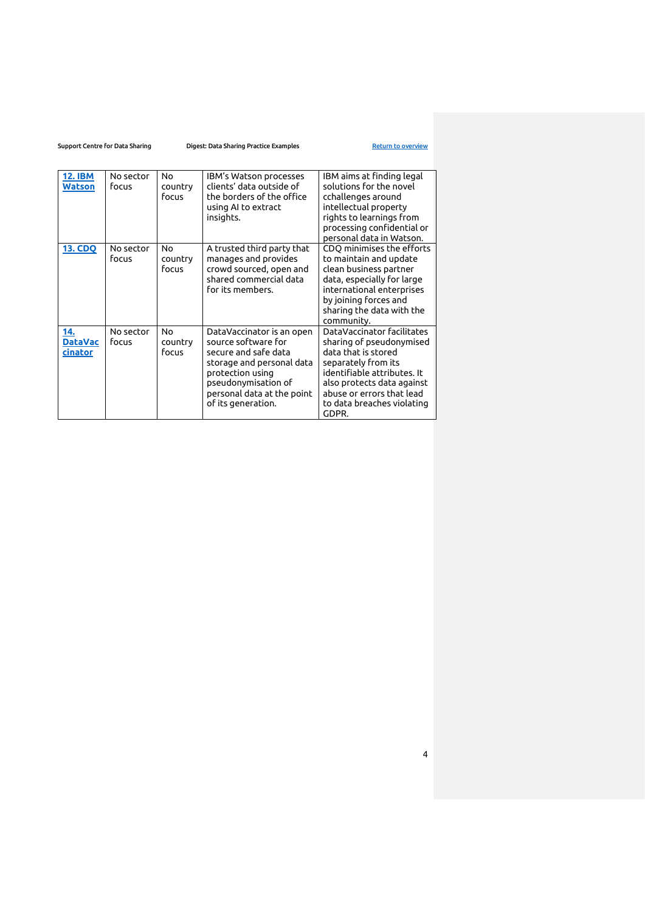| <b>12. IBM</b><br><b>Watson</b>  | No sector<br>focus | Nο<br>country<br>focus | IBM's Watson processes<br>clients' data outside of<br>the borders of the office<br>using AI to extract<br>insights.                                                                                  | IBM aims at finding legal<br>solutions for the novel<br>cchallenges around<br>intellectual property<br>rights to learnings from<br>processing confidential or<br>personal data in Watson.                                             |
|----------------------------------|--------------------|------------------------|------------------------------------------------------------------------------------------------------------------------------------------------------------------------------------------------------|---------------------------------------------------------------------------------------------------------------------------------------------------------------------------------------------------------------------------------------|
| <b>13. CDQ</b>                   | No sector<br>focus | No<br>country<br>focus | A trusted third party that<br>manages and provides<br>crowd sourced, open and<br>shared commercial data<br>for its members.                                                                          | CDQ minimises the efforts<br>to maintain and update<br>clean business partner<br>data, especially for large<br>international enterprises<br>by joining forces and<br>sharing the data with the<br>community.                          |
| 14.<br><b>DataVac</b><br>cinator | No sector<br>focus | No<br>country<br>focus | DataVaccinator is an open<br>source software for<br>secure and safe data<br>storage and personal data<br>protection using<br>pseudonymisation of<br>personal data at the point<br>of its generation. | DataVaccinator facilitates<br>sharing of pseudonymised<br>data that is stored<br>separately from its<br>identifiable attributes. It<br>also protects data against<br>abuse or errors that lead<br>to data breaches violating<br>GDPR. |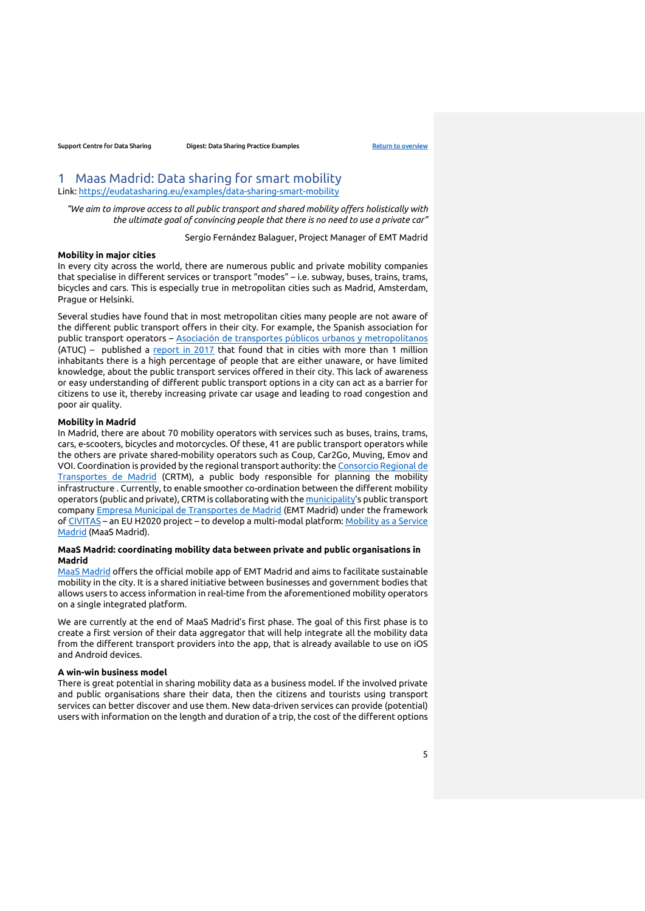# <span id="page-4-0"></span>1 Maas Madrid: Data sharing for smart mobility

Link:<https://eudatasharing.eu/examples/data-sharing-smart-mobility>

*"We aim to improve access to all public transport and shared mobility offers holistically with the ultimate goal of convincing people that there is no need to use a private car"*

Sergio Fernández Balaguer, Project Manager of EMT Madrid

# **Mobility in major cities**

In every city across the world, there are numerous public and private mobility companies that specialise in different services or transport "modes" – i.e. subway, buses, trains, trams, bicycles and cars. This is especially true in metropolitan cities such as Madrid, Amsterdam, Prague or Helsinki.

Several studies have found that in most metropolitan cities many people are not aware of the different public transport offers in their city. For example, the Spanish association for public transport operators – [Asociación de transportes públicos](https://www.atuc.es/) urbanos y metropolitanos (ATUC) – published a [report in 2017](https://www.idae.es/publicaciones/estudio-sobre-habitos-y-actitudes-de-los-no-usuarios-habituales-hacia-el-transporte) that found that in cities with more than 1 million inhabitants there is a high percentage of people that are either unaware, or have limited knowledge, about the public transport services offered in their city. This lack of awareness or easy understanding of different public transport options in a city can act as a barrier for citizens to use it, thereby increasing private car usage and leading to road congestion and poor air quality.

### **Mobility in Madrid**

In Madrid, there are about 70 mobility operators with services such as buses, trains, trams, cars, e-scooters, bicycles and motorcycles. Of these, 41 are public transport operators while the others are private shared-mobility operators such as Coup, Car2Go, Muving, Emov and VOI. Coordination is provided by the regional transport authority: the [Consorcio Regional de](https://www.crtm.es/)  [Transportes de Madrid](https://www.crtm.es/) (CRTM), a public body responsible for planning the mobility infrastructure . Currently, to enable smoother co-ordination between the different mobility operators (public and private), CRTM is collaborating with th[e municipality](https://madridiowa.org/)'s public transport company [Empresa Municipal de Transportes de Madrid](https://www.emtmadrid.es/Home) (EMT Madrid) under the framework of [CIVITAS](https://civitas.eu/) – an EU H2020 project – to develop a multi-modal platform[: Mobility as a Service](https://civitas.eu/news/madrids-new-multimodal-mobility-portal)  [Madrid](https://civitas.eu/news/madrids-new-multimodal-mobility-portal) (MaaS Madrid).

# **MaaS Madrid: coordinating mobility data between private and public organisations in Madrid**

[MaaS Madrid](https://play.google.com/store/apps/details?id=com.emt.maas&hl=en) offers the official mobile app of EMT Madrid and aims to facilitate sustainable mobility in the city. It is a shared initiative between businesses and government bodies that allows users to access information in real-time from the aforementioned mobility operators on a single integrated platform.

We are currently at the end of MaaS Madrid's first phase. The goal of this first phase is to create a first version of their data aggregator that will help integrate all the mobility data from the different transport providers into the app, that is already available to use on iOS and Android devices.

#### **A win-win business model**

There is great potential in sharing mobility data as a business model. If the involved private and public organisations share their data, then the citizens and tourists using transport services can better discover and use them. New data-driven services can provide (potential) users with information on the length and duration of a trip, the cost of the different options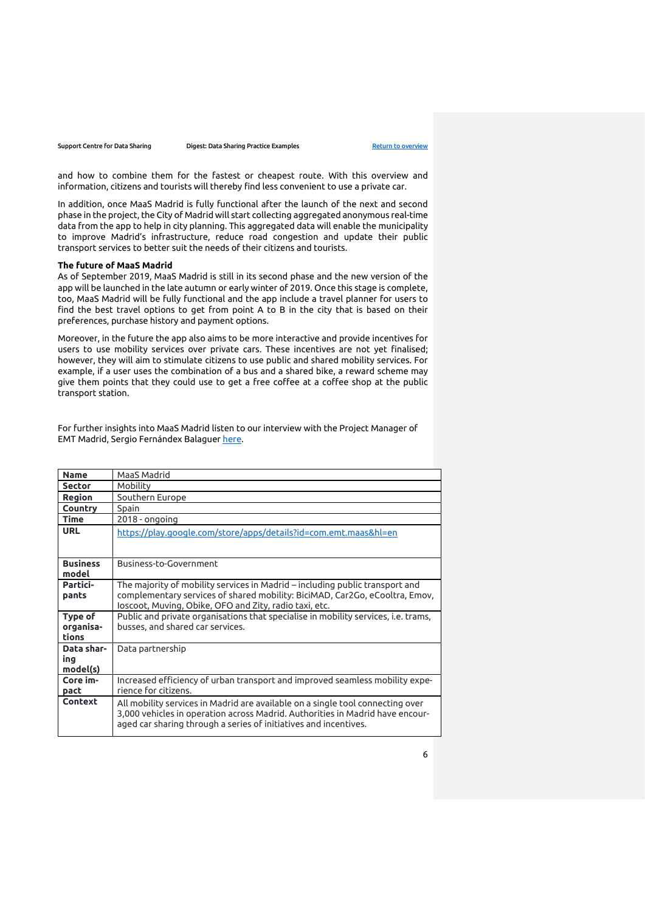and how to combine them for the fastest or cheapest route. With this overview and information, citizens and tourists will thereby find less convenient to use a private car.

In addition, once MaaS Madrid is fully functional after the launch of the next and second phase in the project, the City of Madrid will start collecting aggregated anonymous real-time data from the app to help in city planning. This aggregated data will enable the municipality to improve Madrid's infrastructure, reduce road congestion and update their public transport services to better suit the needs of their citizens and tourists.

# **The future of MaaS Madrid**

As of September 2019, MaaS Madrid is still in its second phase and the new version of the app will be launched in the late autumn or early winter of 2019. Once this stage is complete, too, MaaS Madrid will be fully functional and the app include a travel planner for users to find the best travel options to get from point A to B in the city that is based on their preferences, purchase history and payment options.

Moreover, in the future the app also aims to be more interactive and provide incentives for users to use mobility services over private cars. These incentives are not yet finalised; however, they will aim to stimulate citizens to use public and shared mobility services. For example, if a user uses the combination of a bus and a shared bike, a reward scheme may give them points that they could use to get a free coffee at a coffee shop at the public transport station.

For further insights into MaaS Madrid listen to our interview with the Project Manager of EMT Madrid, Sergio Fernándex Balaguer [here.](https://youtu.be/F3yZfgAoDSo)

| <b>Name</b>     | MaaS Madrid                                                                                                                                       |
|-----------------|---------------------------------------------------------------------------------------------------------------------------------------------------|
| <b>Sector</b>   | Mobility                                                                                                                                          |
| Region          | Southern Europe                                                                                                                                   |
| Country         | Spain                                                                                                                                             |
| <b>Time</b>     | $2018 -$ ongoing                                                                                                                                  |
| <b>URL</b>      | https://play.google.com/store/apps/details?id=com.emt.maas&hl=en                                                                                  |
|                 |                                                                                                                                                   |
|                 |                                                                                                                                                   |
| <b>Business</b> | Business-to-Government                                                                                                                            |
| model           |                                                                                                                                                   |
| Partici-        | The majority of mobility services in Madrid – including public transport and                                                                      |
| pants           | complementary services of shared mobility: BiciMAD, Car2Go, eCooltra, Emov,                                                                       |
|                 | loscoot, Muving, Obike, OFO and Zity, radio taxi, etc.                                                                                            |
| Type of         | Public and private organisations that specialise in mobility services, i.e. trams,                                                                |
| organisa-       | busses, and shared car services.                                                                                                                  |
| tions           |                                                                                                                                                   |
| Data shar-      | Data partnership                                                                                                                                  |
| ing             |                                                                                                                                                   |
| model(s)        |                                                                                                                                                   |
| Core im-        | Increased efficiency of urban transport and improved seamless mobility expe-                                                                      |
| pact            | rience for citizens.                                                                                                                              |
| Context         | All mobility services in Madrid are available on a single tool connecting over                                                                    |
|                 | 3,000 vehicles in operation across Madrid. Authorities in Madrid have encour-<br>aged car sharing through a series of initiatives and incentives. |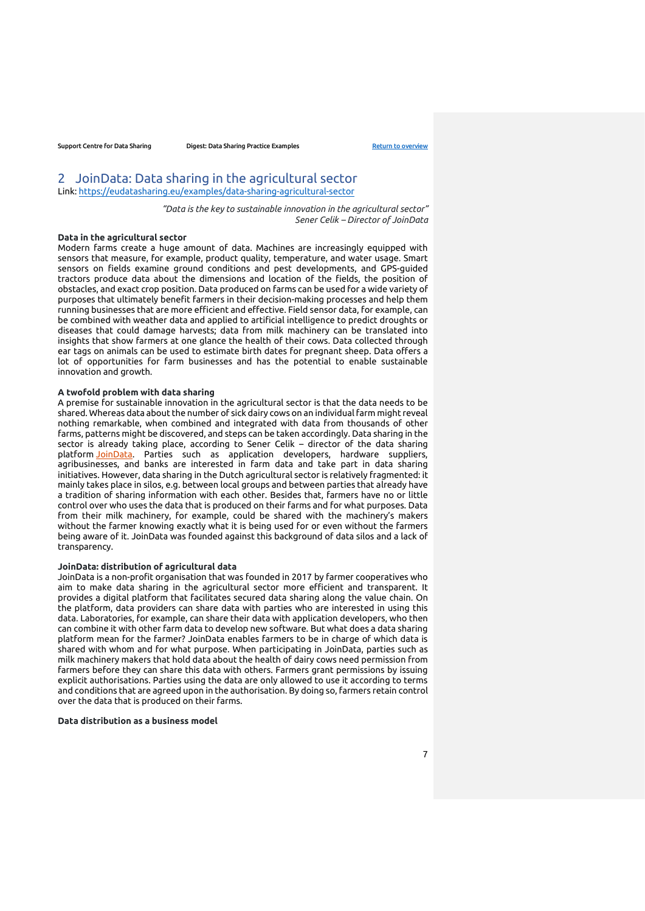# <span id="page-6-0"></span>2 JoinData: Data sharing in the agricultural sector Link:<https://eudatasharing.eu/examples/data-sharing-agricultural-sector>

*"Data is the key to sustainable innovation in the agricultural sector" Sener Celik – Director of JoinData*

#### **Data in the agricultural sector**

Modern farms create a huge amount of data. Machines are increasingly equipped with sensors that measure, for example, product quality, temperature, and water usage. Smart sensors on fields examine ground conditions and pest developments, and GPS-guided tractors produce data about the dimensions and location of the fields, the position of obstacles, and exact crop position. Data produced on farms can be used for a wide variety of purposes that ultimately benefit farmers in their decision-making processes and help them running businesses that are more efficient and effective. Field sensor data, for example, can be combined with weather data and applied to artificial intelligence to predict droughts or diseases that could damage harvests; data from milk machinery can be translated into insights that show farmers at one glance the health of their cows. Data collected through ear tags on animals can be used to estimate birth dates for pregnant sheep. Data offers a lot of opportunities for farm businesses and has the potential to enable sustainable innovation and growth.

### **A twofold problem with data sharing**

A premise for sustainable innovation in the agricultural sector is that the data needs to be shared. Whereas data about the number of sick dairy cows on an individual farm might reveal nothing remarkable, when combined and integrated with data from thousands of other farms, patterns might be discovered, and steps can be taken accordingly. Data sharing in the sector is already taking place, according to Sener Celik – director of the data sharing platform [JoinData.](https://www.join-data.nl/?lang=en) Parties such as application developers, hardware suppliers, agribusinesses, and banks are interested in farm data and take part in data sharing initiatives. However, data sharing in the Dutch agricultural sector is relatively fragmented: it mainly takes place in silos, e.g. between local groups and between parties that already have a tradition of sharing information with each other. Besides that, farmers have no or little control over who uses the data that is produced on their farms and for what purposes. Data from their milk machinery, for example, could be shared with the machinery's makers without the farmer knowing exactly what it is being used for or even without the farmers being aware of it. JoinData was founded against this background of data silos and a lack of transparency.

#### **JoinData: distribution of agricultural data**

JoinData is a non-profit organisation that was founded in 2017 by farmer cooperatives who aim to make data sharing in the agricultural sector more efficient and transparent. It provides a digital platform that facilitates secured data sharing along the value chain. On the platform, data providers can share data with parties who are interested in using this data. Laboratories, for example, can share their data with application developers, who then can combine it with other farm data to develop new software. But what does a data sharing platform mean for the farmer? JoinData enables farmers to be in charge of which data is shared with whom and for what purpose. When participating in JoinData, parties such as milk machinery makers that hold data about the health of dairy cows need permission from farmers before they can share this data with others. Farmers grant permissions by issuing explicit authorisations. Parties using the data are only allowed to use it according to terms and conditions that are agreed upon in the authorisation. By doing so, farmers retain control over the data that is produced on their farms.

### **Data distribution as a business model**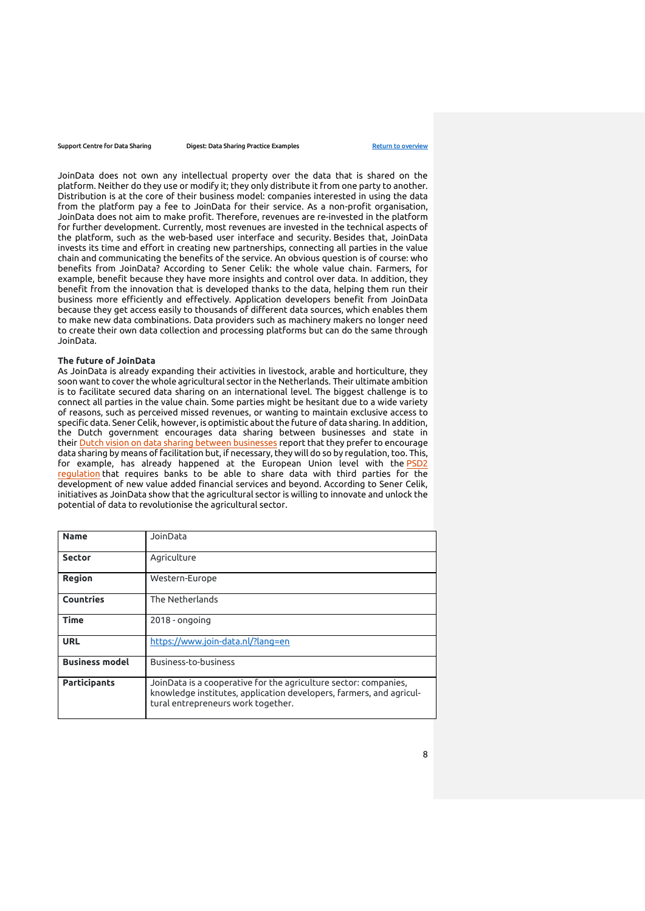JoinData does not own any intellectual property over the data that is shared on the platform. Neither do they use or modify it; they only distribute it from one party to another. Distribution is at the core of their business model: companies interested in using the data from the platform pay a fee to JoinData for their service. As a non-profit organisation, JoinData does not aim to make profit. Therefore, revenues are re-invested in the platform for further development. Currently, most revenues are invested in the technical aspects of the platform, such as the web-based user interface and security. Besides that, JoinData invests its time and effort in creating new partnerships, connecting all parties in the value chain and communicating the benefits of the service. An obvious question is of course: who benefits from JoinData? According to Sener Celik: the whole value chain. Farmers, for example, benefit because they have more insights and control over data. In addition, they benefit from the innovation that is developed thanks to the data, helping them run their business more efficiently and effectively. Application developers benefit from JoinData because they get access easily to thousands of different data sources, which enables them to make new data combinations. Data providers such as machinery makers no longer need to create their own data collection and processing platforms but can do the same through JoinData.

#### **The future of JoinData**

As JoinData is already expanding their activities in livestock, arable and horticulture, they soon want to cover the whole agricultural sector in the Netherlands. Their ultimate ambition is to facilitate secured data sharing on an international level. The biggest challenge is to connect all parties in the value chain. Some parties might be hesitant due to a wide variety of reasons, such as perceived missed revenues, or wanting to maintain exclusive access to specific data. Sener Celik, however, is optimistic about the future of data sharing. In addition, the Dutch government encourages data sharing between businesses and state in their [Dutch vision on data sharing between businesses](https://www.government.nl/documents/reports/2019/02/01/dutch-vision-on-data-sharing-between-businesses) report that they prefer to encourage data sharing by means of facilitation but, if necessary, they will do so by regulation, too. This, for example, has already happened at the European Union level with the **PSD2** [regulation](https://ec.europa.eu/info/law/payment-services-psd-2-directive-eu-2015-2366_en) that requires banks to be able to share data with third parties for the development of new value added financial services and beyond. According to Sener Celik, initiatives as JoinData show that the agricultural sector is willing to innovate and unlock the potential of data to revolutionise the agricultural sector.

| <b>Name</b>           | JoinData                                                                                                                                                                      |
|-----------------------|-------------------------------------------------------------------------------------------------------------------------------------------------------------------------------|
| <b>Sector</b>         | Agriculture                                                                                                                                                                   |
| Region                | Western-Europe                                                                                                                                                                |
| Countries             | The Netherlands                                                                                                                                                               |
| <b>Time</b>           | $2018 -$ ongoing                                                                                                                                                              |
| <b>URL</b>            | https://www.join-data.nl/?lang=en                                                                                                                                             |
| <b>Business model</b> | Business-to-business                                                                                                                                                          |
| <b>Participants</b>   | JoinData is a cooperative for the agriculture sector: companies,<br>knowledge institutes, application developers, farmers, and agricul-<br>tural entrepreneurs work together. |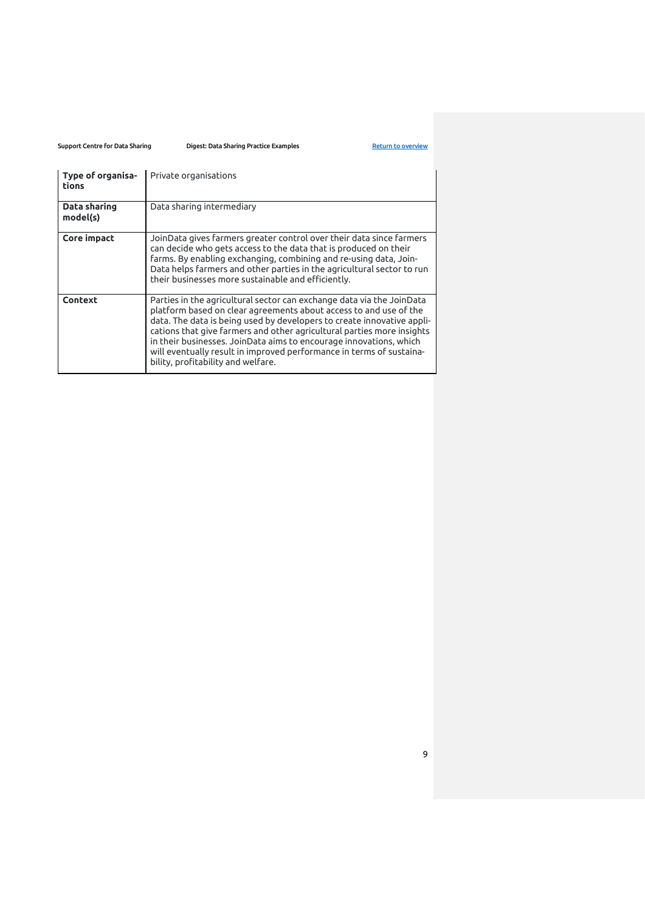| Type of organisa-<br>tions | Private organisations                                                                                                                                                                                                                                                                                                                                                                                                                                                              |
|----------------------------|------------------------------------------------------------------------------------------------------------------------------------------------------------------------------------------------------------------------------------------------------------------------------------------------------------------------------------------------------------------------------------------------------------------------------------------------------------------------------------|
| Data sharing<br>model(s)   | Data sharing intermediary                                                                                                                                                                                                                                                                                                                                                                                                                                                          |
| Core impact                | JoinData gives farmers greater control over their data since farmers<br>can decide who gets access to the data that is produced on their<br>farms. By enabling exchanging, combining and re-using data, Join-<br>Data helps farmers and other parties in the agricultural sector to run<br>their businesses more sustainable and efficiently.                                                                                                                                      |
| Context                    | Parties in the agricultural sector can exchange data via the JoinData<br>platform based on clear agreements about access to and use of the<br>data. The data is being used by developers to create innovative appli-<br>cations that give farmers and other agricultural parties more insights<br>in their businesses. JoinData aims to encourage innovations, which<br>will eventually result in improved performance in terms of sustaina-<br>bility, profitability and welfare. |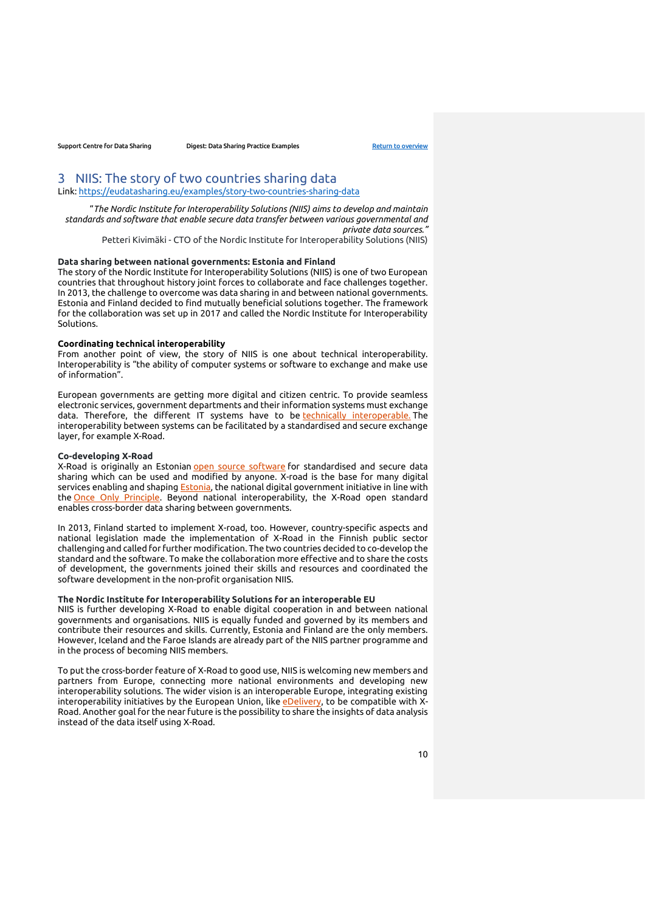# <span id="page-9-0"></span>3 NIIS: The story of two countries sharing data

Link:<https://eudatasharing.eu/examples/story-two-countries-sharing-data>

"*The Nordic Institute for Interoperability Solutions (NIIS) aims to develop and maintain standards and software that enable secure data transfer between various governmental and private data sources."*

Petteri Kivimäki - CTO of the Nordic Institute for Interoperability Solutions (NIIS)

# **Data sharing between national governments: Estonia and Finland**

The story of the Nordic Institute for Interoperability Solutions (NIIS) is one of two European countries that throughout history joint forces to collaborate and face challenges together. In 2013, the challenge to overcome was data sharing in and between national governments. Estonia and Finland decided to find mutually beneficial solutions together. The framework for the collaboration was set up in 2017 and called the Nordic Institute for Interoperability Solutions.

### **Coordinating technical interoperability**

From another point of view, the story of NIIS is one about technical interoperability. Interoperability is "the ability of computer systems or software to exchange and make use of information".

European governments are getting more digital and citizen centric. To provide seamless electronic services, government departments and their information systems must exchange data. Therefore, the different IT systems have to be [technically interoperable.](https://en.oxforddictionaries.com/definition/interoperability) The interoperability between systems can be facilitated by a standardised and secure exchange layer, for example X-Road.

### **Co-developing X-Road**

X-Road is originally an Estonian [open source software](https://github.com/nordic-institute/X-Road) for standardised and secure data sharing which can be used and modified by anyone. X-road is the base for many digital services enabling and shaping **Estonia**, the national digital government initiative in line with the [Once Only Principle.](https://ec.europa.eu/cefdigital/wiki/display/CEFDIGITAL/Once+Only+Principle) Beyond national interoperability, the X-Road open standard enables cross-border data sharing between governments.

In 2013, Finland started to implement X-road, too. However, country-specific aspects and national legislation made the implementation of X-Road in the Finnish public sector challenging and called for further modification. The two countries decided to co-develop the standard and the software. To make the collaboration more effective and to share the costs of development, the governments joined their skills and resources and coordinated the software development in the non-profit organisation NIIS.

#### **The Nordic Institute for Interoperability Solutions for an interoperable EU**

NIIS is further developing X-Road to enable digital cooperation in and between national governments and organisations. NIIS is equally funded and governed by its members and contribute their resources and skills. Currently, Estonia and Finland are the only members. However, Iceland and the Faroe Islands are already part of the NIIS partner programme and in the process of becoming NIIS members.

To put the cross-border feature of X-Road to good use, NIIS is welcoming new members and partners from Europe, connecting more national environments and developing new interoperability solutions. The wider vision is an interoperable Europe, integrating existing interoperability initiatives by the European Union, like [eDelivery,](https://ec.europa.eu/cefdigital/wiki/display/CEFDIGITAL/eDelivery) to be compatible with X-Road. Another goal for the near future is the possibility to share the insights of data analysis instead of the data itself using X-Road.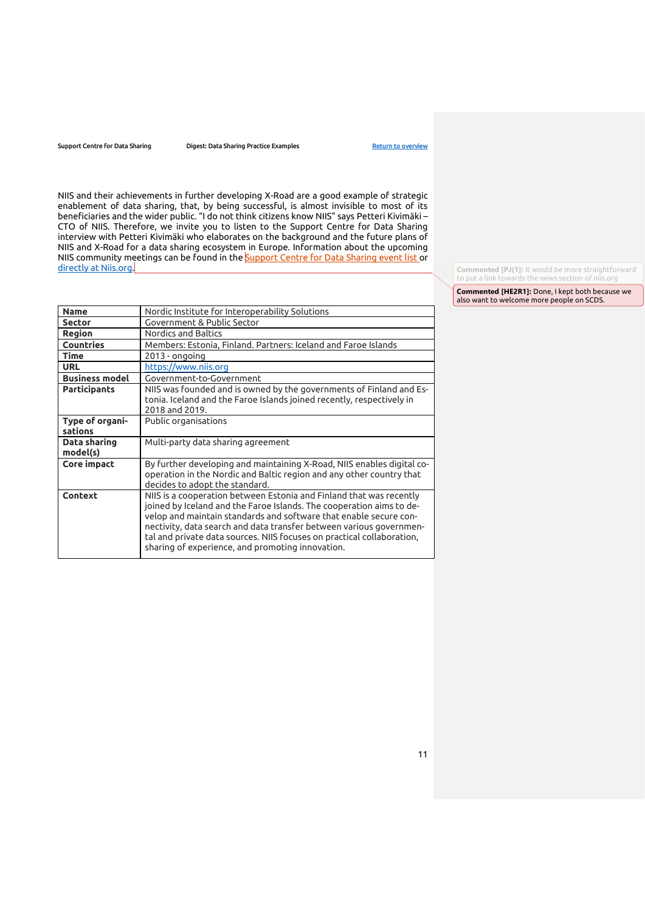Support Centre for Data Sharing **Digest: Data Sharing Practice Examples** [Return to overview](#page-0-0)

NIIS and their achievements in further developing X-Road are a good example of strategic enablement of data sharing, that, by being successful, is almost invisible to most of its beneficiaries and the wider public. "I do not think citizens know NIIS" says Petteri Kivimäki – CTO of NIIS. Therefore, we invite you to listen to the Support Centre for Data Sharing interview with Petteri Kivimäki who elaborates on the background and the future plans of NIIS and X-Road for a data sharing ecosystem in Europe. Information about the upcoming NIIS community meetings can be found in the [Support Centre for Data Sharing event list](https://eudatasharing.eu/events) or directly at Niis.org

**Commented [PJ(1]:** It would be more straightforward to put a link towards the news section of niis.org

**Commented [HE2R1]:** Done, I kept both because we also want to welcome more people on SCDS.

| <b>Name</b>                | Nordic Institute for Interoperability Solutions                                                                                                                                                                                                                                                                                                                                                                       |
|----------------------------|-----------------------------------------------------------------------------------------------------------------------------------------------------------------------------------------------------------------------------------------------------------------------------------------------------------------------------------------------------------------------------------------------------------------------|
| <b>Sector</b>              | Government & Public Sector                                                                                                                                                                                                                                                                                                                                                                                            |
| Region                     | Nordics and Baltics                                                                                                                                                                                                                                                                                                                                                                                                   |
| <b>Countries</b>           | Members: Estonia, Finland. Partners: Iceland and Faroe Islands                                                                                                                                                                                                                                                                                                                                                        |
| <b>Time</b>                | 2013 - ongoing                                                                                                                                                                                                                                                                                                                                                                                                        |
| <b>URL</b>                 | https://www.niis.org                                                                                                                                                                                                                                                                                                                                                                                                  |
| <b>Business model</b>      | Government-to-Government                                                                                                                                                                                                                                                                                                                                                                                              |
| <b>Participants</b>        | NIIS was founded and is owned by the governments of Finland and Es-<br>tonia. Iceland and the Faroe Islands joined recently, respectively in<br>2018 and 2019.                                                                                                                                                                                                                                                        |
| Type of organi-<br>sations | Public organisations                                                                                                                                                                                                                                                                                                                                                                                                  |
| Data sharing<br>model(s)   | Multi-party data sharing agreement                                                                                                                                                                                                                                                                                                                                                                                    |
| <b>Core impact</b>         | By further developing and maintaining X-Road, NIIS enables digital co-<br>operation in the Nordic and Baltic region and any other country that<br>decides to adopt the standard.                                                                                                                                                                                                                                      |
| Context                    | NIIS is a cooperation between Estonia and Finland that was recently<br>joined by Iceland and the Faroe Islands. The cooperation aims to de-<br>velop and maintain standards and software that enable secure con-<br>nectivity, data search and data transfer between various governmen-<br>tal and private data sources. NIIS focuses on practical collaboration,<br>sharing of experience, and promoting innovation. |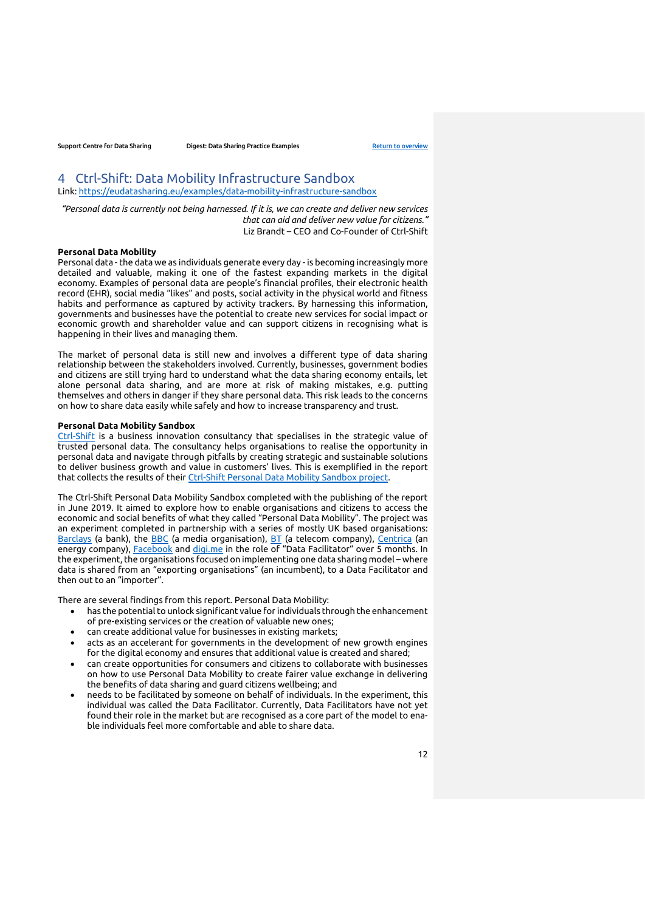# <span id="page-11-0"></span>4 Ctrl-Shift: Data Mobility Infrastructure Sandbox

Link:<https://eudatasharing.eu/examples/data-mobility-infrastructure-sandbox>

*"Personal data is currently not being harnessed. If it is, we can create and deliver new services that can aid and deliver new value for citizens."*  Liz Brandt – CEO and Co-Founder of Ctrl-Shift

#### **Personal Data Mobility**

Personal data - the data we as individuals generate every day - is becoming increasingly more detailed and valuable, making it one of the fastest expanding markets in the digital economy. Examples of personal data are people's financial profiles, their electronic health record (EHR), social media "likes" and posts, social activity in the physical world and fitness habits and performance as captured by activity trackers. By harnessing this information, governments and businesses have the potential to create new services for social impact or economic growth and shareholder value and can support citizens in recognising what is happening in their lives and managing them.

The market of personal data is still new and involves a different type of data sharing relationship between the stakeholders involved. Currently, businesses, government bodies and citizens are still trying hard to understand what the data sharing economy entails, let alone personal data sharing, and are more at risk of making mistakes, e.g. putting themselves and others in danger if they share personal data. This risk leads to the concerns on how to share data easily while safely and how to increase transparency and trust.

### **Personal Data Mobility Sandbox**

[Ctrl-Shift](https://www.ctrl-shift.co.uk/) is a business innovation consultancy that specialises in the strategic value of trusted personal data. The consultancy helps organisations to realise the opportunity in personal data and navigate through pitfalls by creating strategic and sustainable solutions to deliver business growth and value in customers' lives. This is exemplified in the report that collects the results of their [Ctrl-Shift Personal Data Mobility Sandbox](https://www.ctrl-shift.co.uk/wp-content/uploads/2019/06/DMIS_June_2019_Downloadable_Singles_Final4.pdf) project.

The Ctrl-Shift Personal Data Mobility Sandbox completed with the publishing of the report in June 2019. It aimed to explore how to enable organisations and citizens to access the economic and social benefits of what they called "Personal Data Mobility". The project was an experiment completed in partnership with a series of mostly UK based organisations: [Barclays](https://www.barclays.co.uk/) (a bank), the [BBC](https://www.bbc.com/) (a media organisation), [BT](https://www.bt.com/) (a telecom company), [Centrica](https://www.centrica.com/) (an energy company), [Facebook](https://www.facebook.com/) and [digi.me](https://digi.me/) in the role of "Data Facilitator" over 5 months. In the experiment, the organisations focused on implementing one data sharing model – where data is shared from an "exporting organisations" (an incumbent), to a Data Facilitator and then out to an "importer".

There are several findings from this report. Personal Data Mobility:

- has the potential to unlock significant value for individuals through the enhancement of pre-existing services or the creation of valuable new ones;
- can create additional value for businesses in existing markets;
- acts as an accelerant for governments in the development of new growth engines for the digital economy and ensures that additional value is created and shared;
- can create opportunities for consumers and citizens to collaborate with businesses on how to use Personal Data Mobility to create fairer value exchange in delivering the benefits of data sharing and guard citizens wellbeing; and
- needs to be facilitated by someone on behalf of individuals. In the experiment, this individual was called the Data Facilitator. Currently, Data Facilitators have not yet found their role in the market but are recognised as a core part of the model to enable individuals feel more comfortable and able to share data.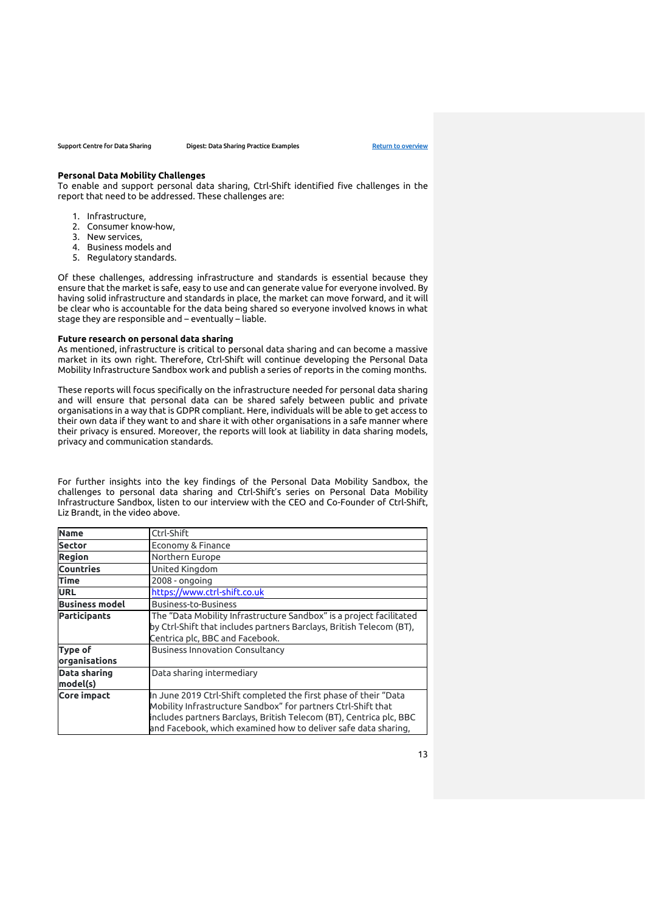#### **Personal Data Mobility Challenges**

To enable and support personal data sharing, Ctrl-Shift identified five challenges in the report that need to be addressed. These challenges are:

- 1. Infrastructure,
- 2. Consumer know-how,
- 3. New services,
- 4. Business models and
- 5. Regulatory standards.

Of these challenges, addressing infrastructure and standards is essential because they ensure that the market is safe, easy to use and can generate value for everyone involved. By having solid infrastructure and standards in place, the market can move forward, and it will be clear who is accountable for the data being shared so everyone involved knows in what stage they are responsible and – eventually – liable.

#### **Future research on personal data sharing**

As mentioned, infrastructure is critical to personal data sharing and can become a massive market in its own right. Therefore, Ctrl-Shift will continue developing the Personal Data Mobility Infrastructure Sandbox work and publish a series of reports in the coming months.

These reports will focus specifically on the infrastructure needed for personal data sharing and will ensure that personal data can be shared safely between public and private organisations in a way that is GDPR compliant. Here, individuals will be able to get access to their own data if they want to and share it with other organisations in a safe manner where their privacy is ensured. Moreover, the reports will look at liability in data sharing models, privacy and communication standards.

For further insights into the key findings of the Personal Data Mobility Sandbox, the challenges to personal data sharing and Ctrl-Shift's series on Personal Data Mobility Infrastructure Sandbox, listen to our interview with the CEO and Co-Founder of Ctrl-Shift, Liz Brandt, in the video above.

| <b>Name</b>                     | Ctrl-Shift                                                                                                                                                                                                                                                                 |
|---------------------------------|----------------------------------------------------------------------------------------------------------------------------------------------------------------------------------------------------------------------------------------------------------------------------|
| <b>Sector</b>                   | Economy & Finance                                                                                                                                                                                                                                                          |
| <b>Region</b>                   | Northern Europe                                                                                                                                                                                                                                                            |
| <b>Countries</b>                | United Kingdom                                                                                                                                                                                                                                                             |
| <b>Time</b>                     | $2008 - onqoinq$                                                                                                                                                                                                                                                           |
| <b>URL</b>                      | https://www.ctrl-shift.co.uk                                                                                                                                                                                                                                               |
| <b>Business model</b>           | <b>Business-to-Business</b>                                                                                                                                                                                                                                                |
| <b>Participants</b>             | The "Data Mobility Infrastructure Sandbox" is a project facilitated<br>by Ctrl-Shift that includes partners Barclays, British Telecom (BT),<br>Centrica plc, BBC and Facebook.                                                                                             |
| <b>Type of</b><br>organisations | <b>Business Innovation Consultancy</b>                                                                                                                                                                                                                                     |
| <b>Data sharing</b><br>model(s) | Data sharing intermediary                                                                                                                                                                                                                                                  |
| <b>Core impact</b>              | In June 2019 Ctrl-Shift completed the first phase of their "Data<br>Mobility Infrastructure Sandbox" for partners Ctrl-Shift that<br>includes partners Barclays, British Telecom (BT), Centrica plc, BBC<br>and Facebook, which examined how to deliver safe data sharing, |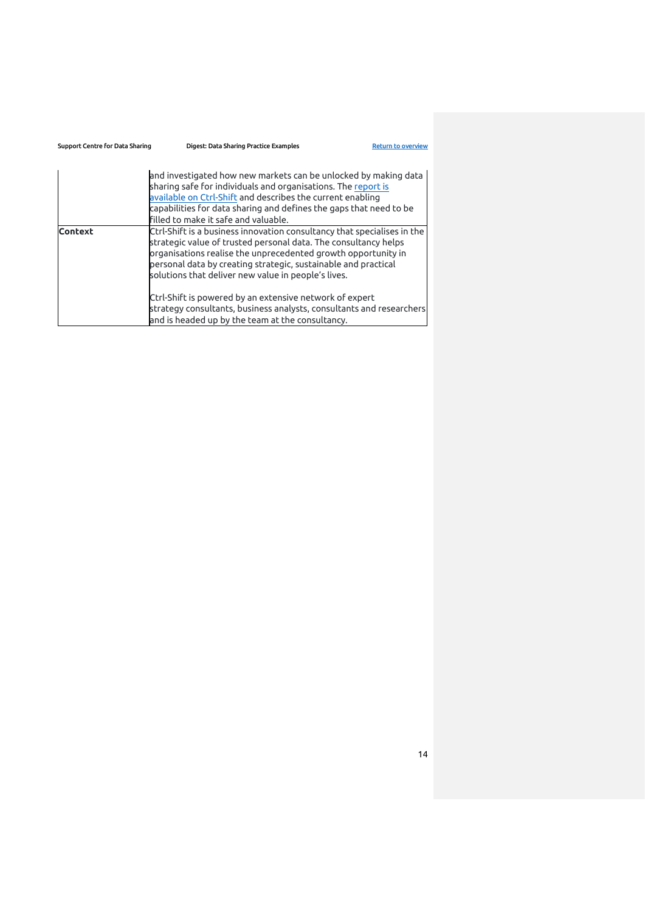| Support Centre for Data Sharing | Digest: Data Sharing Practice Examples                                                                                                                                                                                                                                                                                               | <b>Return to overview</b> |
|---------------------------------|--------------------------------------------------------------------------------------------------------------------------------------------------------------------------------------------------------------------------------------------------------------------------------------------------------------------------------------|---------------------------|
|                                 | and investigated how new markets can be unlocked by making data<br>sharing safe for individuals and organisations. The report is<br>available on Ctrl-Shift and describes the current enabling<br>capabilities for data sharing and defines the gaps that need to be<br>filled to make it safe and valuable.                         |                           |
| <b>Context</b>                  | Ctrl-Shift is a business innovation consultancy that specialises in the<br>strategic value of trusted personal data. The consultancy helps<br>organisations realise the unprecedented growth opportunity in<br>personal data by creating strategic, sustainable and practical<br>solutions that deliver new value in people's lives. |                           |
|                                 | Ctrl-Shift is powered by an extensive network of expert<br>strategy consultants, business analysts, consultants and researchers<br>and is headed up by the team at the consultancy.                                                                                                                                                  |                           |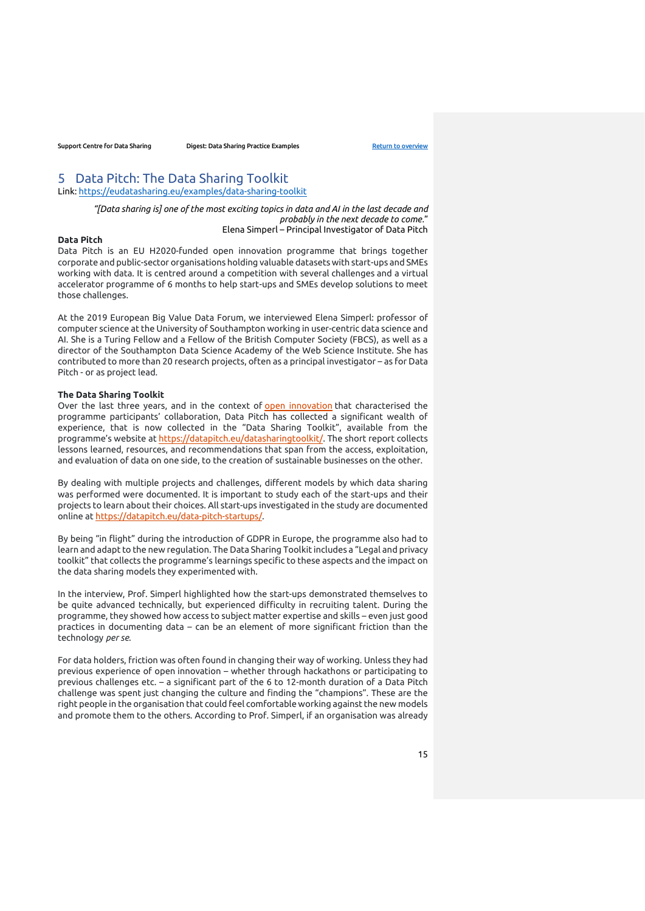# <span id="page-14-0"></span>5 Data Pitch: The Data Sharing Toolkit

Link:<https://eudatasharing.eu/examples/data-sharing-toolkit>

*"[Data sharing is] one of the most exciting topics in data and AI in the last decade and probably in the next decade to come.*" Elena Simperl – Principal Investigator of Data Pitch

#### **Data Pitch**

Data Pitch is an EU H2020-funded open innovation programme that brings together corporate and public-sector organisations holding valuable datasets with start-ups and SMEs working with data. It is centred around a competition with several challenges and a virtual accelerator programme of 6 months to help start-ups and SMEs develop solutions to meet those challenges.

At the 2019 European Big Value Data Forum, we interviewed Elena Simperl: professor of computer science at the University of Southampton working in user-centric data science and AI. She is a Turing Fellow and a Fellow of the British Computer Society (FBCS), as well as a director of the Southampton Data Science Academy of the Web Science Institute. She has contributed to more than 20 research projects, often as a principal investigator – as for Data Pitch - or as project lead.

### **The Data Sharing Toolkit**

Over the last three years, and in the context of [open innovation](https://en.wikipedia.org/wiki/Open_innovation) that characterised the programme participants' collaboration, Data Pitch has collected a significant wealth of experience, that is now collected in the "Data Sharing Toolkit", available from the programme's website at [https://datapitch.eu/datasharingtoolkit/.](https://datapitch.eu/datasharingtoolkit/) The short report collects lessons learned, resources, and recommendations that span from the access, exploitation, and evaluation of data on one side, to the creation of sustainable businesses on the other.

By dealing with multiple projects and challenges, different models by which data sharing was performed were documented. It is important to study each of the start-ups and their projects to learn about their choices. All start-ups investigated in the study are documented online at [https://datapitch.eu/data-pitch-startups/.](https://datapitch.eu/data-pitch-startups/)

By being "in flight" during the introduction of GDPR in Europe, the programme also had to learn and adapt to the new regulation. The Data Sharing Toolkit includes a "Legal and privacy toolkit" that collects the programme's learnings specific to these aspects and the impact on the data sharing models they experimented with.

In the interview, Prof. Simperl highlighted how the start-ups demonstrated themselves to be quite advanced technically, but experienced difficulty in recruiting talent. During the programme, they showed how access to subject matter expertise and skills – even just good practices in documenting data – can be an element of more significant friction than the technology *per se*.

For data holders, friction was often found in changing their way of working. Unless they had previous experience of open innovation – whether through hackathons or participating to previous challenges etc. – a significant part of the 6 to 12-month duration of a Data Pitch challenge was spent just changing the culture and finding the "champions". These are the right people in the organisation that could feel comfortable working against the new models and promote them to the others. According to Prof. Simperl, if an organisation was already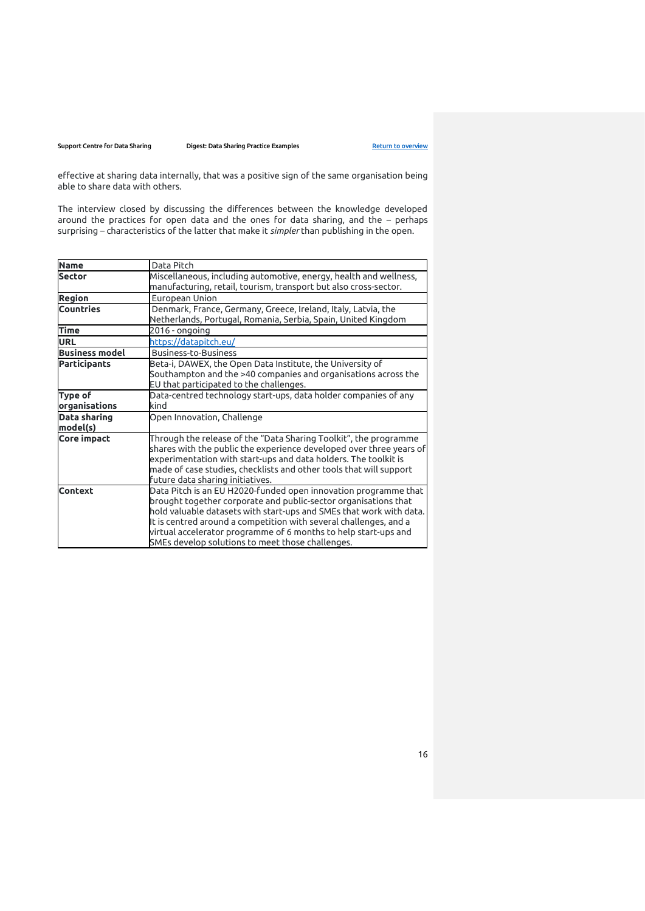effective at sharing data internally, that was a positive sign of the same organisation being able to share data with others.

The interview closed by discussing the differences between the knowledge developed around the practices for open data and the ones for data sharing, and the – perhaps surprising – characteristics of the latter that make it *simpler* than publishing in the open.

| <b>Name</b>                     | Data Pitch                                                                                                                                                                                                                                                                                                                                                                                            |
|---------------------------------|-------------------------------------------------------------------------------------------------------------------------------------------------------------------------------------------------------------------------------------------------------------------------------------------------------------------------------------------------------------------------------------------------------|
| <b>Sector</b>                   | Miscellaneous, including automotive, energy, health and wellness,<br>manufacturing, retail, tourism, transport but also cross-sector.                                                                                                                                                                                                                                                                 |
| Region                          | European Union                                                                                                                                                                                                                                                                                                                                                                                        |
| <b>Countries</b>                | Denmark, France, Germany, Greece, Ireland, Italy, Latvia, the<br>Netherlands, Portugal, Romania, Serbia, Spain, United Kingdom                                                                                                                                                                                                                                                                        |
| <b>Time</b>                     | 2016 - ongoing                                                                                                                                                                                                                                                                                                                                                                                        |
| <b>URL</b>                      | https://datapitch.eu/                                                                                                                                                                                                                                                                                                                                                                                 |
| <b>Business model</b>           | <b>Business-to-Business</b>                                                                                                                                                                                                                                                                                                                                                                           |
| <b>Participants</b>             | Beta-i, DAWEX, the Open Data Institute, the University of<br>Southampton and the >40 companies and organisations across the<br>EU that participated to the challenges.                                                                                                                                                                                                                                |
| <b>Type of</b><br>organisations | Data-centred technology start-ups, data holder companies of any<br>kind                                                                                                                                                                                                                                                                                                                               |
| <b>Data sharing</b><br>model(s) | Open Innovation, Challenge                                                                                                                                                                                                                                                                                                                                                                            |
| Core impact                     | Through the release of the "Data Sharing Toolkit", the programme<br>shares with the public the experience developed over three years of<br>experimentation with start-ups and data holders. The toolkit is<br>made of case studies, checklists and other tools that will support<br>future data sharing initiatives.                                                                                  |
| <b>Context</b>                  | Data Pitch is an EU H2020-funded open innovation programme that<br>brought together corporate and public-sector organisations that<br>hold valuable datasets with start-ups and SMEs that work with data.<br>It is centred around a competition with several challenges, and a<br>virtual accelerator programme of 6 months to help start-ups and<br>SMEs develop solutions to meet those challenges. |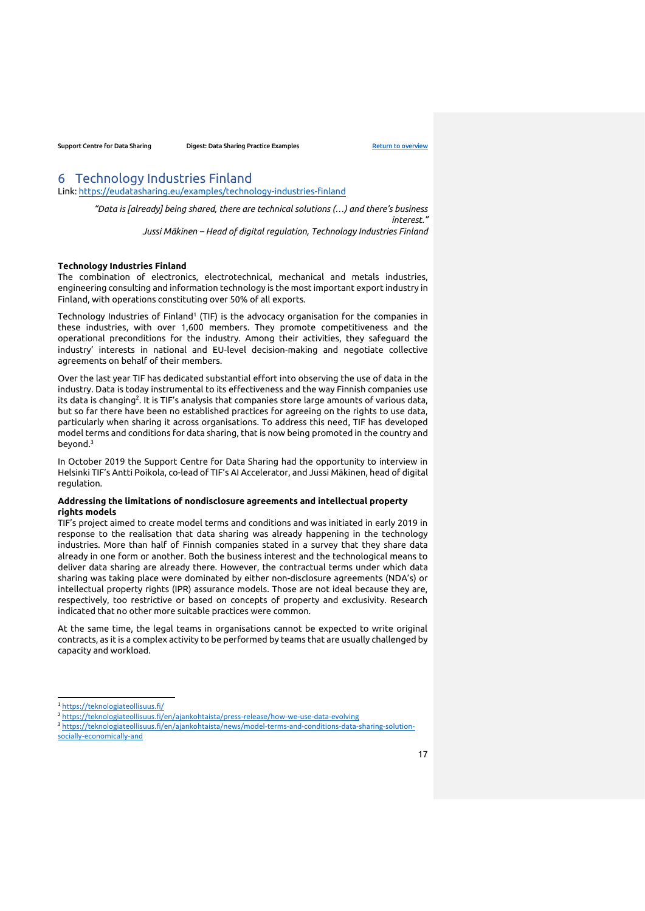# <span id="page-16-0"></span>6 Technology Industries Finland

Link:<https://eudatasharing.eu/examples/technology-industries-finland>

*"Data is [already] being shared, there are technical solutions (…) and there's business interest." Jussi Mäkinen – Head of digital regulation, Technology Industries Finland*

#### **Technology Industries Finland**

The combination of electronics, electrotechnical, mechanical and metals industries, engineering consulting and information technology is the most important export industry in Finland, with operations constituting over 50% of all exports.

Technology Industries of Finland<sup>1</sup> (TIF) is the advocacy organisation for the companies in these industries, with over 1,600 members. They promote competitiveness and the operational preconditions for the industry. Among their activities, they safeguard the industry' interests in national and EU-level decision-making and negotiate collective agreements on behalf of their members.

Over the last year TIF has dedicated substantial effort into observing the use of data in the industry. Data is today instrumental to its effectiveness and the way Finnish companies use its data is changing<sup>2</sup>. It is TIF's analysis that companies store large amounts of various data, but so far there have been no established practices for agreeing on the rights to use data, particularly when sharing it across organisations. To address this need, TIF has developed model terms and conditions for data sharing, that is now being promoted in the country and beyond.<sup>3</sup>

In October 2019 the Support Centre for Data Sharing had the opportunity to interview in Helsinki TIF's Antti Poikola, co-lead of TIF's AI Accelerator, and Jussi Mäkinen, head of digital regulation.

## **Addressing the limitations of nondisclosure agreements and intellectual property rights models**

TIF's project aimed to create model terms and conditions and was initiated in early 2019 in response to the realisation that data sharing was already happening in the technology industries. More than half of Finnish companies stated in a survey that they share data already in one form or another. Both the business interest and the technological means to deliver data sharing are already there. However, the contractual terms under which data sharing was taking place were dominated by either non-disclosure agreements (NDA's) or intellectual property rights (IPR) assurance models. Those are not ideal because they are, respectively, too restrictive or based on concepts of property and exclusivity. Research indicated that no other more suitable practices were common.

At the same time, the legal teams in organisations cannot be expected to write original contracts, as it is a complex activity to be performed by teams that are usually challenged by capacity and workload.

<sup>1</sup> <https://teknologiateollisuus.fi/>

<sup>2</sup> <https://teknologiateollisuus.fi/en/ajankohtaista/press-release/how-we-use-data-evolving>

<sup>&</sup>lt;sup>3</sup> [https://teknologiateollisuus.fi/en/ajankohtaista/news/model-terms-and-conditions-data-sharing-solution](https://teknologiateollisuus.fi/en/ajankohtaista/news/model-terms-and-conditions-data-sharing-solution-socially-economically-and)[socially-economically-and](https://teknologiateollisuus.fi/en/ajankohtaista/news/model-terms-and-conditions-data-sharing-solution-socially-economically-and)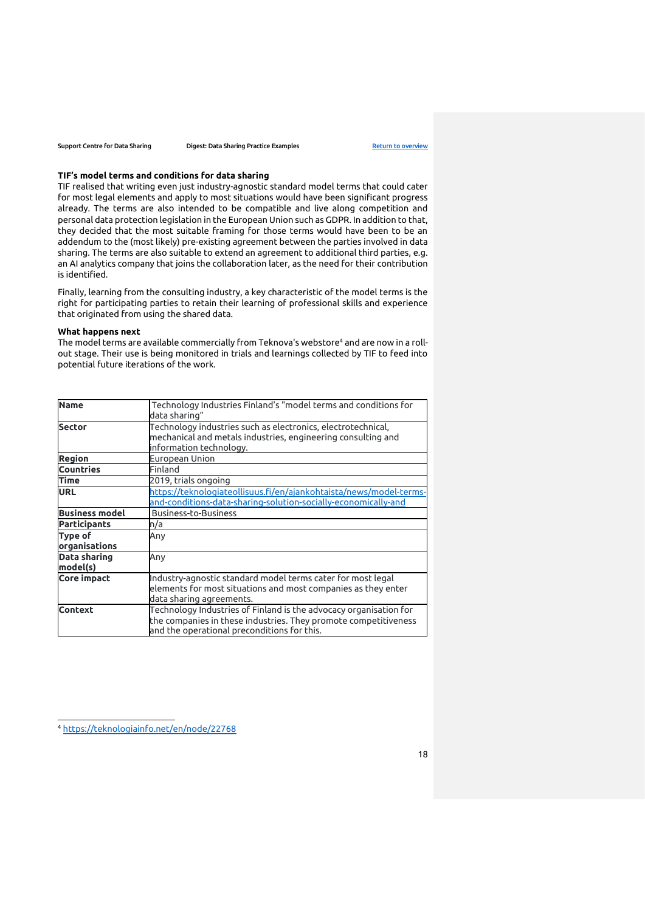#### **TIF's model terms and conditions for data sharing**

TIF realised that writing even just industry-agnostic standard model terms that could cater for most legal elements and apply to most situations would have been significant progress already. The terms are also intended to be compatible and live along competition and personal data protection legislation in the European Union such as GDPR. In addition to that, they decided that the most suitable framing for those terms would have been to be an addendum to the (most likely) pre-existing agreement between the parties involved in data sharing. The terms are also suitable to extend an agreement to additional third parties, e.g. an AI analytics company that joins the collaboration later, as the need for their contribution is identified.

Finally, learning from the consulting industry, a key characteristic of the model terms is the right for participating parties to retain their learning of professional skills and experience that originated from using the shared data.

# **What happens next**

The model terms are available commercially from Teknova's webstore<sup>4</sup> and are now in a rollout stage. Their use is being monitored in trials and learnings collected by TIF to feed into potential future iterations of the work.

| <b>Name</b>              | Technology Industries Finland's "model terms and conditions for<br>data sharing"                                                                                                    |
|--------------------------|-------------------------------------------------------------------------------------------------------------------------------------------------------------------------------------|
| <b>Sector</b>            | Technology industries such as electronics, electrotechnical,<br>mechanical and metals industries, engineering consulting and<br>information technology.                             |
| <b>Region</b>            | European Union                                                                                                                                                                      |
| <b>Countries</b>         | Finland                                                                                                                                                                             |
| <b>Time</b>              | 2019, trials ongoing                                                                                                                                                                |
| <b>URL</b>               | https://teknologiateollisuus.fi/en/ajankohtaista/news/model-terms-<br>and-conditions-data-sharing-solution-socially-economically-and                                                |
| <b>Business model</b>    | <b>Business-to-Business</b>                                                                                                                                                         |
| <b>Participants</b>      | n/a                                                                                                                                                                                 |
| Type of<br>organisations | Any                                                                                                                                                                                 |
| Data sharing<br>model(s) | Any                                                                                                                                                                                 |
| Core impact              | Industry-agnostic standard model terms cater for most legal<br>elements for most situations and most companies as they enter<br>data sharing agreements.                            |
| <b>Context</b>           | Technology Industries of Finland is the advocacy organisation for<br>the companies in these industries. They promote competitiveness<br>and the operational preconditions for this. |

<sup>4</sup> <https://teknologiainfo.net/en/node/22768>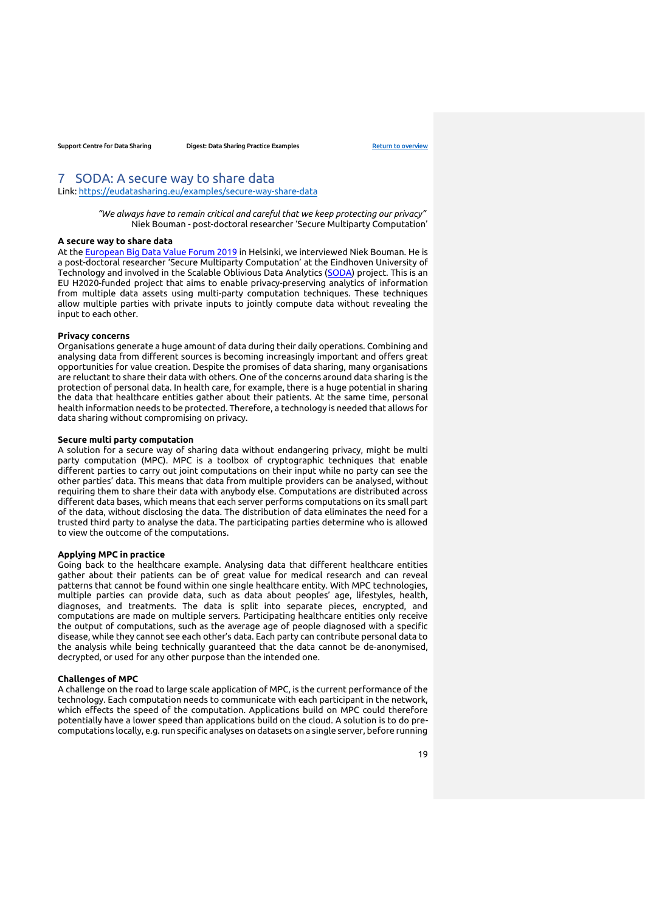# <span id="page-18-0"></span>7 SODA: A secure way to share data

Link:<https://eudatasharing.eu/examples/secure-way-share-data>

*"We always have to remain critical and careful that we keep protecting our privacy"* Niek Bouman - post-doctoral researcher 'Secure Multiparty Computation'

## **A secure way to share data**

At the [European Big Data Value Forum 2019](https://www.european-big-data-value-forum.eu/) in Helsinki, we interviewed Niek Bouman. He is a post-doctoral researcher 'Secure Multiparty Computation' at the Eindhoven University of Technology and involved in the Scalable Oblivious Data Analytics [\(SODA\)](https://www.soda-project.eu/) project. This is an EU H2020-funded project that aims to enable privacy-preserving analytics of information from multiple data assets using multi-party computation techniques. These techniques allow multiple parties with private inputs to jointly compute data without revealing the input to each other.

#### **Privacy concerns**

Organisations generate a huge amount of data during their daily operations. Combining and analysing data from different sources is becoming increasingly important and offers great opportunities for value creation. Despite the promises of data sharing, many organisations are reluctant to share their data with others. One of the concerns around data sharing is the protection of personal data. In health care, for example, there is a huge potential in sharing the data that healthcare entities gather about their patients. At the same time, personal health information needs to be protected. Therefore, a technology is needed that allows for data sharing without compromising on privacy.

#### **Secure multi party computation**

A solution for a secure way of sharing data without endangering privacy, might be multi party computation (MPC). MPC is a toolbox of cryptographic techniques that enable different parties to carry out joint computations on their input while no party can see the other parties' data. This means that data from multiple providers can be analysed, without requiring them to share their data with anybody else. Computations are distributed across different data bases, which means that each server performs computations on its small part of the data, without disclosing the data. The distribution of data eliminates the need for a trusted third party to analyse the data. The participating parties determine who is allowed to view the outcome of the computations.

#### **Applying MPC in practice**

Going back to the healthcare example. Analysing data that different healthcare entities gather about their patients can be of great value for medical research and can reveal patterns that cannot be found within one single healthcare entity. With MPC technologies, multiple parties can provide data, such as data about peoples' age, lifestyles, health, diagnoses, and treatments. The data is split into separate pieces, encrypted, and computations are made on multiple servers. Participating healthcare entities only receive the output of computations, such as the average age of people diagnosed with a specific disease, while they cannot see each other's data. Each party can contribute personal data to the analysis while being technically guaranteed that the data cannot be de-anonymised, decrypted, or used for any other purpose than the intended one.

#### **Challenges of MPC**

A challenge on the road to large scale application of MPC, is the current performance of the technology. Each computation needs to communicate with each participant in the network, which effects the speed of the computation. Applications build on MPC could therefore potentially have a lower speed than applications build on the cloud. A solution is to do precomputations locally, e.g. run specific analyses on datasets on a single server, before running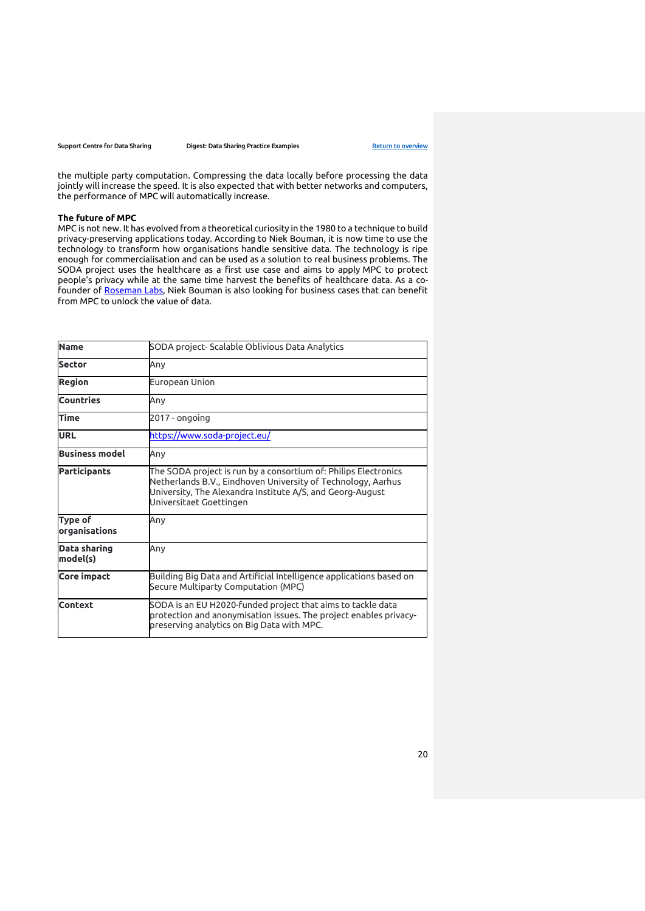Support Centre for Data Sharing **Digest: Data Sharing Practice Examples** [Return to overview](#page-0-0)

the multiple party computation. Compressing the data locally before processing the data jointly will increase the speed. It is also expected that with better networks and computers, the performance of MPC will automatically increase.

### **The future of MPC**

MPC is not new. It has evolved from a theoretical curiosity in the 1980 to a technique to build privacy-preserving applications today. According to Niek Bouman, it is now time to use the technology to transform how organisations handle sensitive data. The technology is ripe enough for commercialisation and can be used as a solution to real business problems. The SODA project uses the healthcare as a first use case and aims to apply MPC to protect people's privacy while at the same time harvest the benefits of healthcare data. As a cofounder of [Roseman Labs,](https://rosemanlabs007.bss.design/) Niek Bouman is also looking for business cases that can benefit from MPC to unlock the value of data.

| <b>Name</b>                     | SODA project- Scalable Oblivious Data Analytics                                                                                                                                                                         |
|---------------------------------|-------------------------------------------------------------------------------------------------------------------------------------------------------------------------------------------------------------------------|
| <b>Sector</b>                   | Anv                                                                                                                                                                                                                     |
| <b>Region</b>                   | European Union                                                                                                                                                                                                          |
| <b>Countries</b>                | Anv                                                                                                                                                                                                                     |
| <b>Time</b>                     | 2017 - ongoing                                                                                                                                                                                                          |
| <b>URL</b>                      | https://www.soda-project.eu/                                                                                                                                                                                            |
| <b>Business model</b>           | Anv                                                                                                                                                                                                                     |
| <b>Participants</b>             | The SODA project is run by a consortium of: Philips Electronics<br>Netherlands B.V., Eindhoven University of Technology, Aarhus<br>University, The Alexandra Institute A/S, and Georg-August<br>Universitaet Goettingen |
| <b>Type of</b><br>organisations | Any                                                                                                                                                                                                                     |
| Data sharing<br>model(s)        | Anv                                                                                                                                                                                                                     |
| Core impact                     | Building Big Data and Artificial Intelligence applications based on<br>Secure Multiparty Computation (MPC)                                                                                                              |
| <b>Context</b>                  | SODA is an EU H2020-funded project that aims to tackle data<br>protection and anonymisation issues. The project enables privacy-<br>preserving analytics on Big Data with MPC.                                          |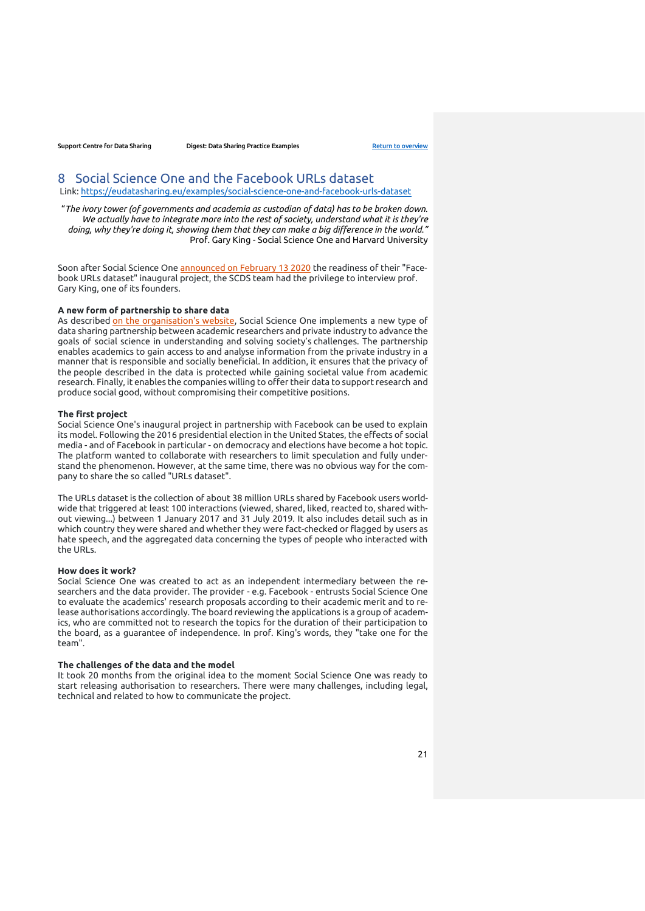# <span id="page-20-0"></span>8 Social Science One and the Facebook URLs dataset

Link:<https://eudatasharing.eu/examples/social-science-one-and-facebook-urls-dataset>

"*The ivory tower (of governments and academia as custodian of data) has to be broken down. We actually have to integrate more into the rest of society, understand what it is they're doing, why they're doing it, showing them that they can make a big difference in the world."* Prof. Gary King - Social Science One and Harvard University

Soon after Social Science One [announced on February 13 2020](https://socialscience.one/blog/unprecedented-facebook-urls-dataset-now-available-research-through-social-science-one) the readiness of their "Facebook URLs dataset" inaugural project, the SCDS team had the privilege to interview prof. Gary King, one of its founders.

### **A new form of partnership to share data**

As described [on the organisation's website,](https://socialscience.one/overview) Social Science One implements a new type of data sharing partnership between academic researchers and private industry to advance the goals of social science in understanding and solving society's challenges. The partnership enables academics to gain access to and analyse information from the private industry in a manner that is responsible and socially beneficial. In addition, it ensures that the privacy of the people described in the data is protected while gaining societal value from academic research. Finally, it enables the companies willing to offer their data to support research and produce social good, without compromising their competitive positions.

#### **The first project**

Social Science One's inaugural project in partnership with Facebook can be used to explain its model. Following the 2016 presidential election in the United States, the effects of social media - and of Facebook in particular - on democracy and elections have become a hot topic. The platform wanted to collaborate with researchers to limit speculation and fully understand the phenomenon. However, at the same time, there was no obvious way for the company to share the so called "URLs dataset".

The URLs dataset is the collection of about 38 million URLs shared by Facebook users worldwide that triggered at least 100 interactions (viewed, shared, liked, reacted to, shared without viewing...) between 1 January 2017 and 31 July 2019. It also includes detail such as in which country they were shared and whether they were fact-checked or flagged by users as hate speech, and the aggregated data concerning the types of people who interacted with the URLs.

#### **How does it work?**

Social Science One was created to act as an independent intermediary between the researchers and the data provider. The provider - e.g. Facebook - entrusts Social Science One to evaluate the academics' research proposals according to their academic merit and to release authorisations accordingly. The board reviewing the applications is a group of academics, who are committed not to research the topics for the duration of their participation to the board, as a guarantee of independence. In prof. King's words, they "take one for the team".

#### **The challenges of the data and the model**

It took 20 months from the original idea to the moment Social Science One was ready to start releasing authorisation to researchers. There were many challenges, including legal, technical and related to how to communicate the project.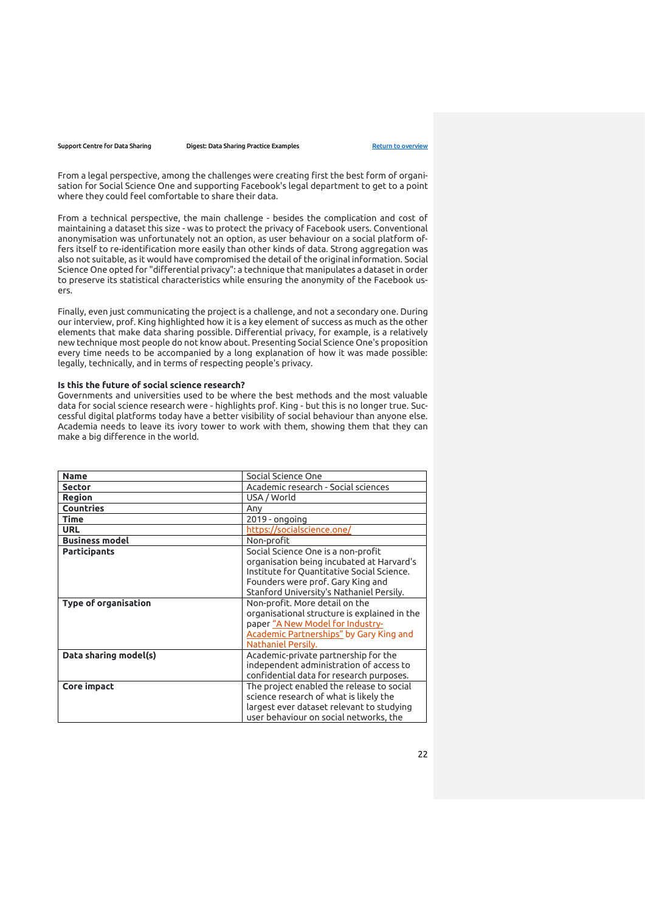From a legal perspective, among the challenges were creating first the best form of organisation for Social Science One and supporting Facebook's legal department to get to a point where they could feel comfortable to share their data.

From a technical perspective, the main challenge - besides the complication and cost of maintaining a dataset this size - was to protect the privacy of Facebook users. Conventional anonymisation was unfortunately not an option, as user behaviour on a social platform offers itself to re-identification more easily than other kinds of data. Strong aggregation was also not suitable, as it would have compromised the detail of the original information. Social Science One opted for "differential privacy": a technique that manipulates a dataset in order to preserve its statistical characteristics while ensuring the anonymity of the Facebook users.

Finally, even just communicating the project is a challenge, and not a secondary one. During our interview, prof. King highlighted how it is a key element of success as much as the other elements that make data sharing possible. Differential privacy, for example, is a relatively new technique most people do not know about. Presenting Social Science One's proposition every time needs to be accompanied by a long explanation of how it was made possible: legally, technically, and in terms of respecting people's privacy.

### **Is this the future of social science research?**

Governments and universities used to be where the best methods and the most valuable data for social science research were - highlights prof. King - but this is no longer true. Successful digital platforms today have a better visibility of social behaviour than anyone else. Academia needs to leave its ivory tower to work with them, showing them that they can make a big difference in the world.

| <b>Name</b>                 | Social Science One                           |
|-----------------------------|----------------------------------------------|
| <b>Sector</b>               | Academic research - Social sciences          |
| <b>Region</b>               | USA / World                                  |
| <b>Countries</b>            | Any                                          |
| <b>Time</b>                 | 2019 - ongoing                               |
| <b>URL</b>                  | https://socialscience.one/                   |
| <b>Business model</b>       | Non-profit                                   |
| <b>Participants</b>         | Social Science One is a non-profit           |
|                             | organisation being incubated at Harvard's    |
|                             | Institute for Quantitative Social Science.   |
|                             | Founders were prof. Gary King and            |
|                             | Stanford University's Nathaniel Persily.     |
| <b>Type of organisation</b> | Non-profit. More detail on the               |
|                             | organisational structure is explained in the |
|                             | paper "A New Model for Industry-             |
|                             | Academic Partnerships" by Gary King and      |
|                             | Nathaniel Persily.                           |
| Data sharing model(s)       | Academic-private partnership for the         |
|                             | independent administration of access to      |
|                             | confidential data for research purposes.     |
| Core impact                 | The project enabled the release to social    |
|                             | science research of what is likely the       |
|                             | largest ever dataset relevant to studying    |
|                             | user behaviour on social networks, the       |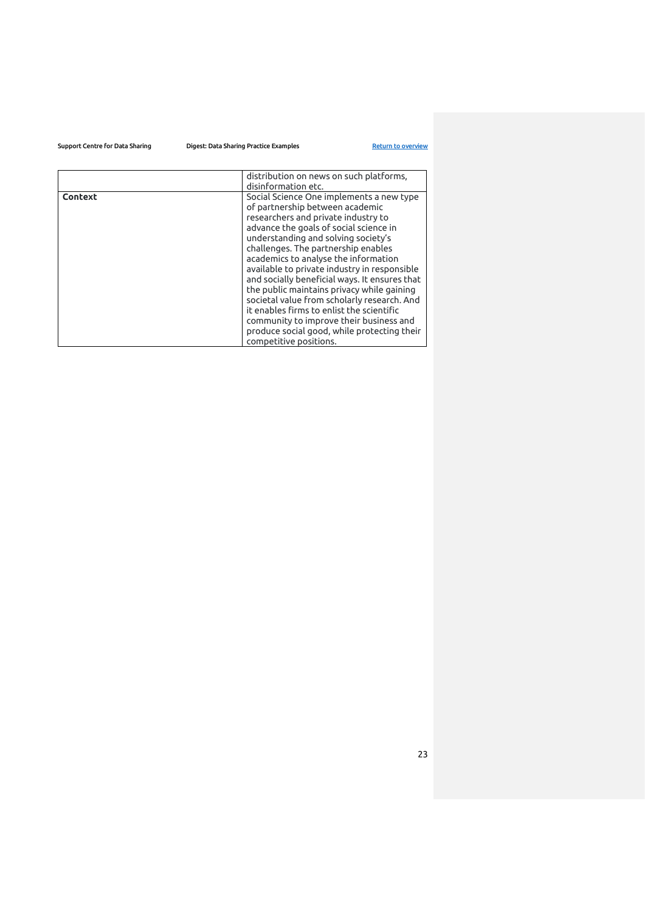|         | distribution on news on such platforms,<br>disinformation etc.                                                                                                                                                                                                                                                                                                                                                                                                                                                                                                                                                                                    |
|---------|---------------------------------------------------------------------------------------------------------------------------------------------------------------------------------------------------------------------------------------------------------------------------------------------------------------------------------------------------------------------------------------------------------------------------------------------------------------------------------------------------------------------------------------------------------------------------------------------------------------------------------------------------|
| Context | Social Science One implements a new type<br>of partnership between academic<br>researchers and private industry to<br>advance the goals of social science in<br>understanding and solving society's<br>challenges. The partnership enables<br>academics to analyse the information<br>available to private industry in responsible<br>and socially beneficial ways. It ensures that<br>the public maintains privacy while gaining<br>societal value from scholarly research. And<br>it enables firms to enlist the scientific<br>community to improve their business and<br>produce social good, while protecting their<br>competitive positions. |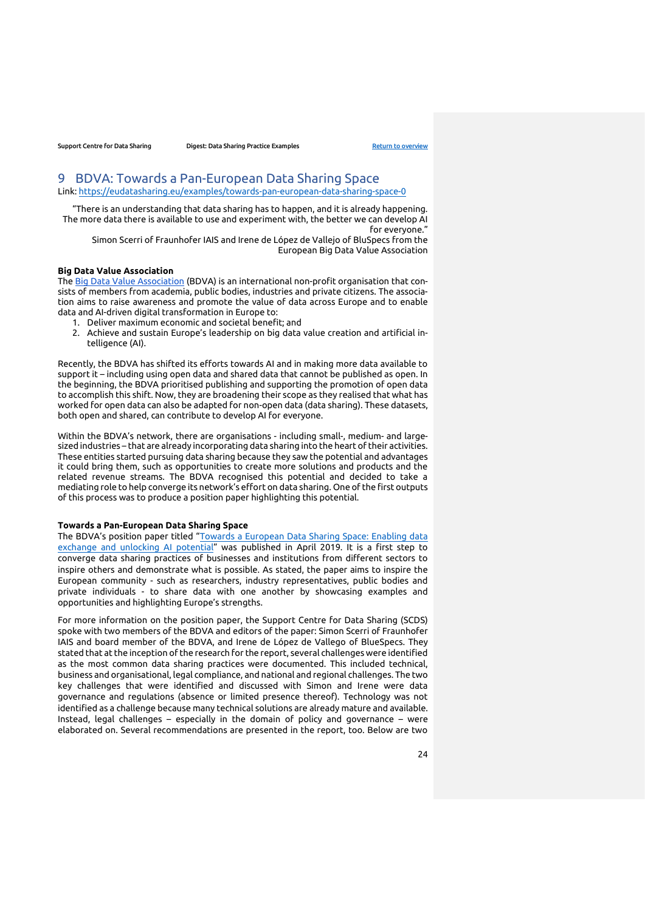# <span id="page-23-0"></span>9 BDVA: Towards a Pan-European Data Sharing Space

Link:<https://eudatasharing.eu/examples/towards-pan-european-data-sharing-space-0>

"There is an understanding that data sharing has to happen, and it is already happening. The more data there is available to use and experiment with, the better we can develop AI for everyone."

Simon Scerri of Fraunhofer IAIS and Irene de López de Vallejo of BluSpecs from the European Big Data Value Association

#### **Big Data Value Association**

The [Big Data Value Association](http://www.bdva.eu/) (BDVA) is an international non-profit organisation that consists of members from academia, public bodies, industries and private citizens. The association aims to raise awareness and promote the value of data across Europe and to enable data and AI-driven digital transformation in Europe to:

- 1. Deliver maximum economic and societal benefit; and
- 2. Achieve and sustain Europe's leadership on big data value creation and artificial intelligence (AI).

Recently, the BDVA has shifted its efforts towards AI and in making more data available to support it – including using open data and shared data that cannot be published as open. In the beginning, the BDVA prioritised publishing and supporting the promotion of open data to accomplish this shift. Now, they are broadening their scope as they realised that what has worked for open data can also be adapted for non-open data (data sharing). These datasets, both open and shared, can contribute to develop AI for everyone.

Within the BDVA's network, there are organisations - including small-, medium- and largesized industries – that are already incorporating data sharing into the heart of their activities. These entities started pursuing data sharing because they saw the potential and advantages it could bring them, such as opportunities to create more solutions and products and the related revenue streams. The BDVA recognised this potential and decided to take a mediating role to help converge its network's effort on data sharing. One of the first outputs of this process was to produce a position paper highlighting this potential.

## **Towards a Pan-European Data Sharing Space**

The BDVA's position paper titled "Towards a European Data Sharing Space: Enabling data [exchange and unlocking AI potential](http://www.bdva.eu/node/1277)" was published in April 2019. It is a first step to converge data sharing practices of businesses and institutions from different sectors to inspire others and demonstrate what is possible. As stated, the paper aims to inspire the European community - such as researchers, industry representatives, public bodies and private individuals - to share data with one another by showcasing examples and opportunities and highlighting Europe's strengths.

For more information on the position paper, the Support Centre for Data Sharing (SCDS) spoke with two members of the BDVA and editors of the paper: Simon Scerri of Fraunhofer IAIS and board member of the BDVA, and Irene de López de Vallego of BlueSpecs. They stated that at the inception of the research for the report, several challenges were identified as the most common data sharing practices were documented. This included technical, business and organisational, legal compliance, and national and regional challenges. The two key challenges that were identified and discussed with Simon and Irene were data governance and regulations (absence or limited presence thereof). Technology was not identified as a challenge because many technical solutions are already mature and available. Instead, legal challenges – especially in the domain of policy and governance – were elaborated on. Several recommendations are presented in the report, too. Below are two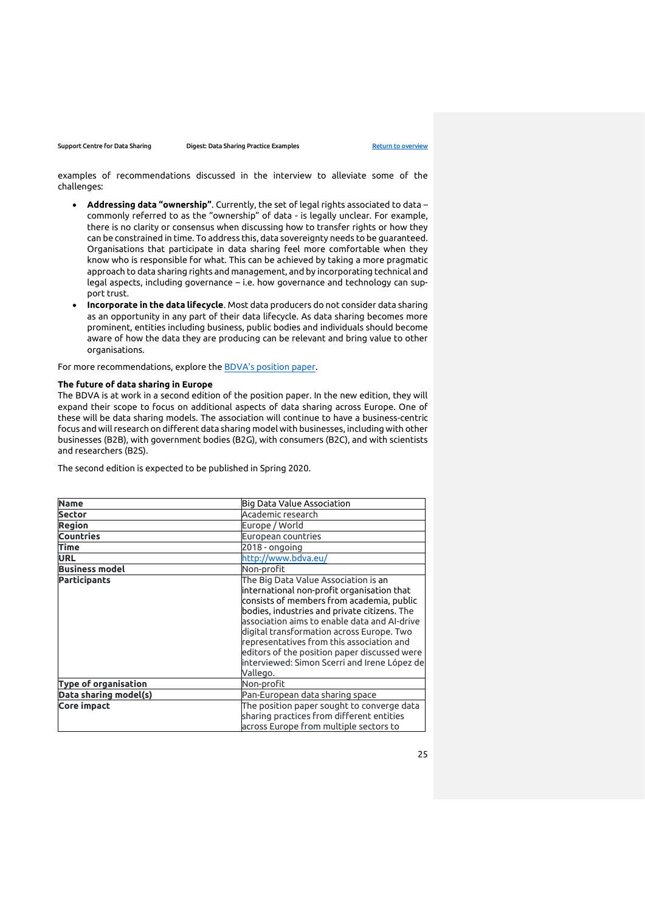examples of recommendations discussed in the interview to alleviate some of the challenges:

- **Addressing data "ownership"**. Currently, the set of legal rights associated to data commonly referred to as the "ownership" of data - is legally unclear. For example, there is no clarity or consensus when discussing how to transfer rights or how they can be constrained in time. To address this, data sovereignty needs to be guaranteed. Organisations that participate in data sharing feel more comfortable when they know who is responsible for what. This can be achieved by taking a more pragmatic approach to data sharing rights and management, and by incorporating technical and legal aspects, including governance – i.e. how governance and technology can support trust.
- **Incorporate in the data lifecycle**. Most data producers do not consider data sharing as an opportunity in any part of their data lifecycle. As data sharing becomes more prominent, entities including business, public bodies and individuals should become aware of how the data they are producing can be relevant and bring value to other organisations.

For more recommendations, explore the [BDVA's position paper](http://www.bdva.eu/sites/default/files/BDVA%20DataSharingSpace%20PositionPaper_April2019_V1.pdf).

# **The future of data sharing in Europe**

The BDVA is at work in a second edition of the position paper. In the new edition, they will expand their scope to focus on additional aspects of data sharing across Europe. One of these will be data sharing models. The association will continue to have a business-centric focus and will research on different data sharing model with businesses, including with other businesses (B2B), with government bodies (B2G), with consumers (B2C), and with scientists and researchers (B2S).

The second edition is expected to be published in Spring 2020.

| <b>Name</b>                 | Big Data Value Association                                                                                                                                                                                                                                                                                                                                                                                                            |
|-----------------------------|---------------------------------------------------------------------------------------------------------------------------------------------------------------------------------------------------------------------------------------------------------------------------------------------------------------------------------------------------------------------------------------------------------------------------------------|
| <b>Sector</b>               | Academic research                                                                                                                                                                                                                                                                                                                                                                                                                     |
| <b>Region</b>               | Europe / World                                                                                                                                                                                                                                                                                                                                                                                                                        |
| <b>Countries</b>            | European countries                                                                                                                                                                                                                                                                                                                                                                                                                    |
| <b>Time</b>                 | 2018 - ongoing                                                                                                                                                                                                                                                                                                                                                                                                                        |
| <b>URL</b>                  | http://www.bdva.eu/                                                                                                                                                                                                                                                                                                                                                                                                                   |
| <b>Business model</b>       | Non-profit                                                                                                                                                                                                                                                                                                                                                                                                                            |
| <b>Participants</b>         | The Big Data Value Association is an<br>international non-profit organisation that<br>consists of members from academia, public<br>bodies, industries and private citizens. The<br>association aims to enable data and AI-drive<br>digital transformation across Europe. Two<br>representatives from this association and<br>editors of the position paper discussed were<br>interviewed: Simon Scerri and Irene López de<br>Vallego. |
| <b>Type of organisation</b> | Non-profit                                                                                                                                                                                                                                                                                                                                                                                                                            |
| Data sharing model(s)       | Pan-European data sharing space                                                                                                                                                                                                                                                                                                                                                                                                       |
| <b>Core impact</b>          | The position paper sought to converge data<br>sharing practices from different entities<br>across Europe from multiple sectors to                                                                                                                                                                                                                                                                                                     |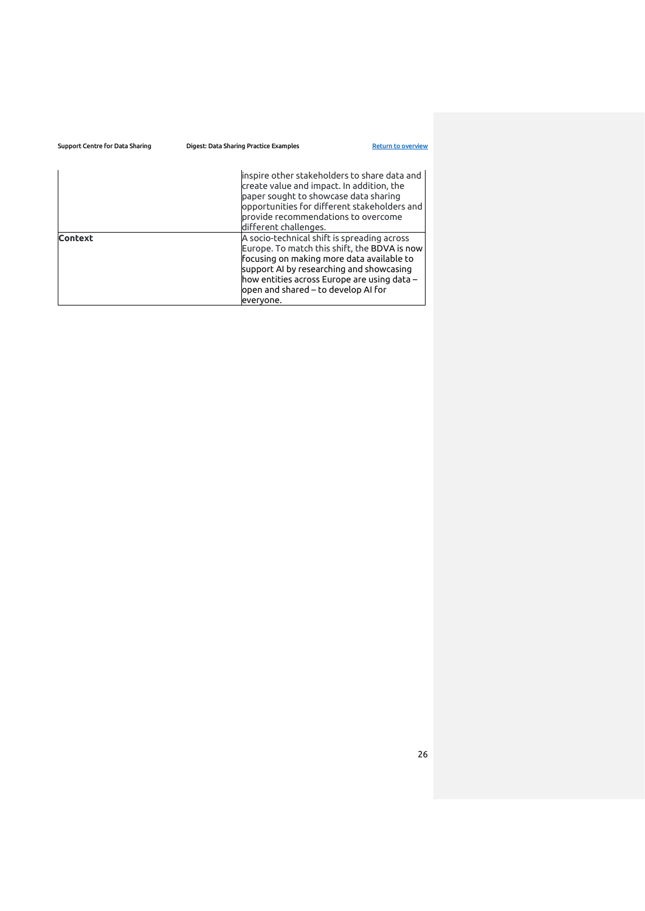| Support Centre for Data Sharing | Digest: Data Sharing Practice Examples                                                                                                                                                                                                                                     | <b>Return to overview</b> |
|---------------------------------|----------------------------------------------------------------------------------------------------------------------------------------------------------------------------------------------------------------------------------------------------------------------------|---------------------------|
|                                 | inspire other stakeholders to share data and<br>create value and impact. In addition, the<br>paper sought to showcase data sharing<br>opportunities for different stakeholders and<br>provide recommendations to overcome<br>different challenges.                         |                           |
| <b>Context</b>                  | A socio-technical shift is spreading across<br>Europe. To match this shift, the BDVA is now<br>focusing on making more data available to<br>support AI by researching and showcasing<br>how entities across Europe are using data –<br>open and shared – to develop AI for |                           |
|                                 | evervone.                                                                                                                                                                                                                                                                  |                           |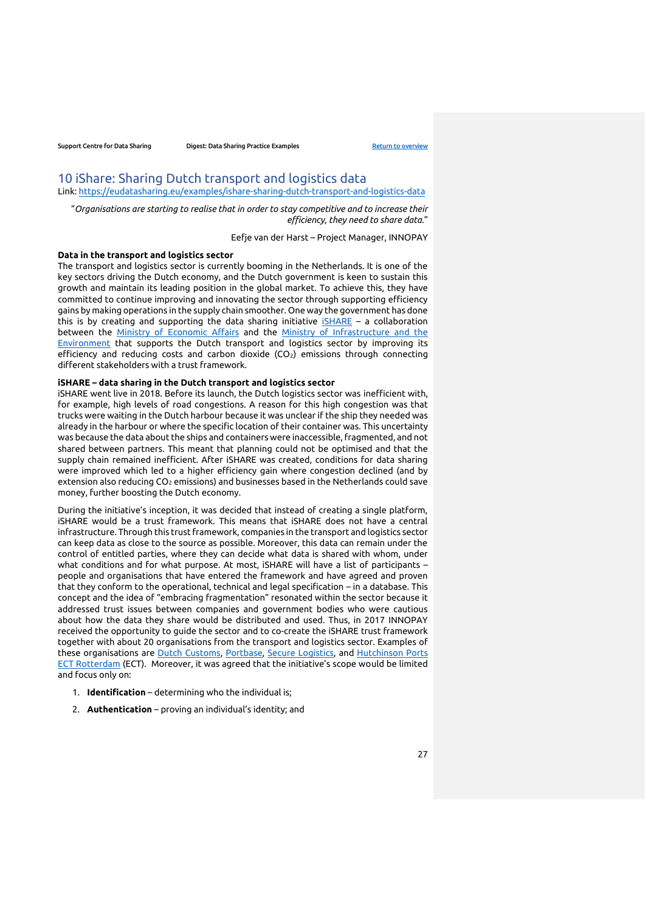# <span id="page-26-0"></span>10 iShare: Sharing Dutch transport and logistics data Link:<https://eudatasharing.eu/examples/ishare-sharing-dutch-transport-and-logistics-data>

"*Organisations are starting to realise that in order to stay competitive and to increase their efficiency, they need to share data*."

Eefje van der Harst – Project Manager, INNOPAY

### **Data in the transport and logistics sector**

The transport and logistics sector is currently booming in the Netherlands. It is one of the key sectors driving the Dutch economy, and the Dutch government is keen to sustain this growth and maintain its leading position in the global market. To achieve this, they have committed to continue improving and innovating the sector through supporting efficiency gains by making operations in the supply chain smoother. One way the government has done this is by creating and supporting the data sharing initiative  $\overline{\text{isHARE}}$  – a collaboration between the [Ministry of Economic Affairs](https://www.government.nl/ministries/ministry-of-economic-affairs-and-climate-policy) and the Ministry of Infrastructure and the [Environment](https://www.government.nl/ministries/ministry-of-infrastructure-and-water-management) that supports the Dutch transport and logistics sector by improving its efficiency and reducing costs and carbon dioxide (CO<sub>2</sub>) emissions through connecting different stakeholders with a trust framework.

### **iSHARE – data sharing in the Dutch transport and logistics sector**

iSHARE went live in 2018. Before its launch, the Dutch logistics sector was inefficient with, for example, high levels of road congestions. A reason for this high congestion was that trucks were waiting in the Dutch harbour because it was unclear if the ship they needed was already in the harbour or where the specific location of their container was. This uncertainty was because the data about the ships and containers were inaccessible, fragmented, and not shared between partners. This meant that planning could not be optimised and that the supply chain remained inefficient. After iSHARE was created, conditions for data sharing were improved which led to a higher efficiency gain where congestion declined (and by extension also reducing CO<sub>2</sub> emissions) and businesses based in the Netherlands could save money, further boosting the Dutch economy.

During the initiative's inception, it was decided that instead of creating a single platform, iSHARE would be a trust framework. This means that iSHARE does not have a central infrastructure. Through this trust framework, companies in the transport and logistics sector can keep data as close to the source as possible. Moreover, this data can remain under the control of entitled parties, where they can decide what data is shared with whom, under what conditions and for what purpose. At most, iSHARE will have a list of participants – people and organisations that have entered the framework and have agreed and proven that they conform to the operational, technical and legal specification – in a database. This concept and the idea of "embracing fragmentation" resonated within the sector because it addressed trust issues between companies and government bodies who were cautious about how the data they share would be distributed and used. Thus, in 2017 INNOPAY received the opportunity to guide the sector and to co-create the iSHARE trust framework together with about 20 organisations from the transport and logistics sector. Examples of these organisations are [Dutch Customs,](https://www.belastingdienst.nl/wps/wcm/connect/en/customs/customs) [Portbase,](https://www.portbase.com/en/) [Secure Logistics,](https://secure-logistics.nl/en/) and [Hutchinson Ports](https://www.ect.nl/en)  [ECT Rotterdam](https://www.ect.nl/en) (ECT). Moreover, it was agreed that the initiative's scope would be limited and focus only on:

- 1. **Identification** determining who the individual is;
- 2. **Authentication** proving an individual's identity; and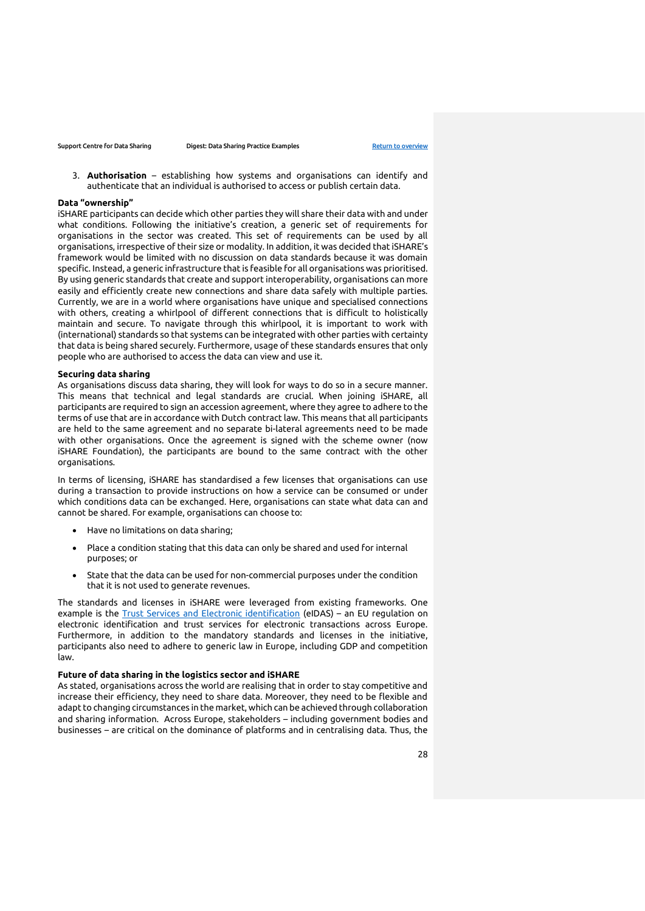3. **Authorisation** – establishing how systems and organisations can identify and authenticate that an individual is authorised to access or publish certain data.

#### **Data "ownership"**

iSHARE participants can decide which other parties they will share their data with and under what conditions. Following the initiative's creation, a generic set of requirements for organisations in the sector was created. This set of requirements can be used by all organisations, irrespective of their size or modality. In addition, it was decided that iSHARE's framework would be limited with no discussion on data standards because it was domain specific. Instead, a generic infrastructure that is feasible for all organisations was prioritised. By using generic standards that create and support interoperability, organisations can more easily and efficiently create new connections and share data safely with multiple parties. Currently, we are in a world where organisations have unique and specialised connections with others, creating a whirlpool of different connections that is difficult to holistically maintain and secure. To navigate through this whirlpool, it is important to work with (international) standards so that systems can be integrated with other parties with certainty that data is being shared securely. Furthermore, usage of these standards ensures that only people who are authorised to access the data can view and use it.

## **Securing data sharing**

As organisations discuss data sharing, they will look for ways to do so in a secure manner. This means that technical and legal standards are crucial. When joining iSHARE, all participants are required to sign an accession agreement, where they agree to adhere to the terms of use that are in accordance with Dutch contract law. This means that all participants are held to the same agreement and no separate bi-lateral agreements need to be made with other organisations. Once the agreement is signed with the scheme owner (now iSHARE Foundation), the participants are bound to the same contract with the other organisations.

In terms of licensing, iSHARE has standardised a few licenses that organisations can use during a transaction to provide instructions on how a service can be consumed or under which conditions data can be exchanged. Here, organisations can state what data can and cannot be shared. For example, organisations can choose to:

- Have no limitations on data sharing;
- Place a condition stating that this data can only be shared and used for internal purposes; or
- State that the data can be used for non-commercial purposes under the condition that it is not used to generate revenues.

The standards and licenses in iSHARE were leveraged from existing frameworks. One example is the [Trust Services and Electronic identification](https://ec.europa.eu/digital-single-market/en/trust-services-and-eid) (eIDAS) – an EU regulation on electronic identification and trust services for electronic transactions across Europe. Furthermore, in addition to the mandatory standards and licenses in the initiative, participants also need to adhere to generic law in Europe, including GDP and competition law.

#### **Future of data sharing in the logistics sector and iSHARE**

As stated, organisations across the world are realising that in order to stay competitive and increase their efficiency, they need to share data. Moreover, they need to be flexible and adapt to changing circumstances in the market, which can be achieved through collaboration and sharing information. Across Europe, stakeholders – including government bodies and businesses – are critical on the dominance of platforms and in centralising data. Thus, the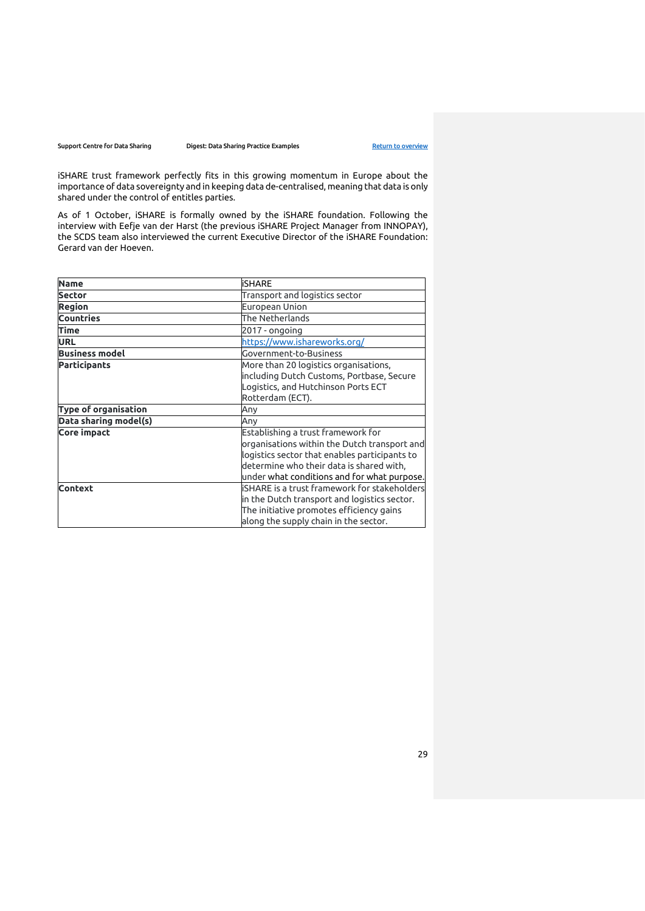iSHARE trust framework perfectly fits in this growing momentum in Europe about the importance of data sovereignty and in keeping data de-centralised, meaning that data is only shared under the control of entitles parties.

As of 1 October, iSHARE is formally owned by the iSHARE foundation. Following the interview with Eefje van der Harst (the previous iSHARE Project Manager from INNOPAY), the SCDS team also interviewed the current Executive Director of the iSHARE Foundation: Gerard van der Hoeven.

| <b>Name</b>                 | <b>iSHARE</b>                                                                                                                                                                                                                  |
|-----------------------------|--------------------------------------------------------------------------------------------------------------------------------------------------------------------------------------------------------------------------------|
| <b>Sector</b>               | Transport and logistics sector                                                                                                                                                                                                 |
| <b>Region</b>               | European Union                                                                                                                                                                                                                 |
| <b>Countries</b>            | The Netherlands                                                                                                                                                                                                                |
| <b>Time</b>                 | 2017 - ongoing                                                                                                                                                                                                                 |
| <b>URL</b>                  | https://www.ishareworks.org/                                                                                                                                                                                                   |
| <b>Business model</b>       | Government-to-Business                                                                                                                                                                                                         |
| <b>Participants</b>         | More than 20 logistics organisations,<br>including Dutch Customs, Portbase, Secure<br>Logistics, and Hutchinson Ports ECT<br>Rotterdam (ECT).                                                                                  |
| <b>Type of organisation</b> | Any                                                                                                                                                                                                                            |
| Data sharing model(s)       | Any                                                                                                                                                                                                                            |
| <b>Core impact</b>          | Establishing a trust framework for<br>organisations within the Dutch transport and<br>logistics sector that enables participants to<br>determine who their data is shared with,<br>under what conditions and for what purpose. |
| <b>Context</b>              | <b>iSHARE</b> is a trust framework for stakeholders<br>in the Dutch transport and logistics sector.<br>The initiative promotes efficiency gains<br>along the supply chain in the sector.                                       |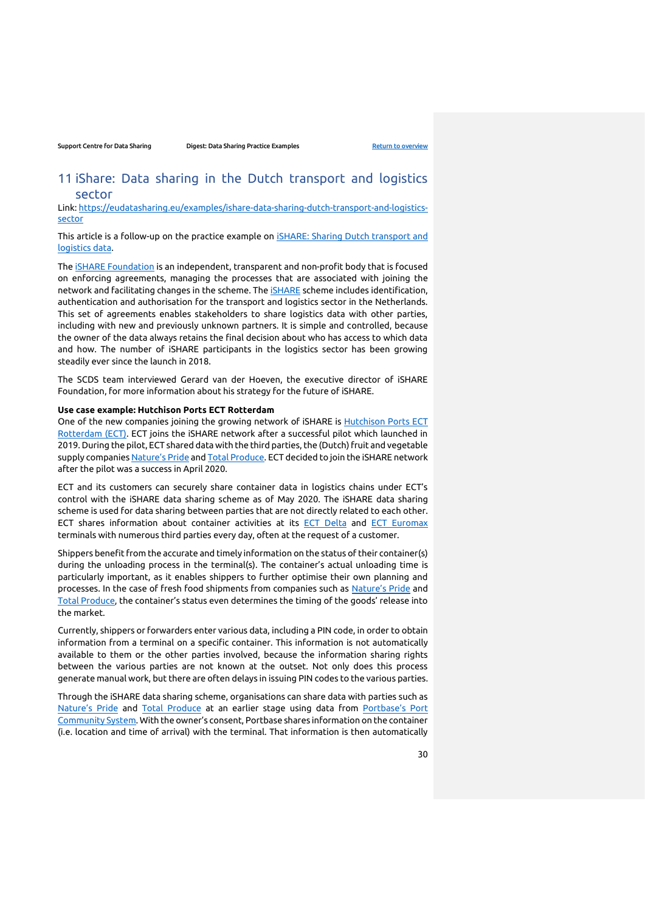# <span id="page-29-0"></span>11 iShare: Data sharing in the Dutch transport and logistics sector

Link: [https://eudatasharing.eu/examples/ishare-data-sharing-dutch-transport-and-logistics](https://eudatasharing.eu/examples/ishare-data-sharing-dutch-transport-and-logistics-sector)[sector](https://eudatasharing.eu/examples/ishare-data-sharing-dutch-transport-and-logistics-sector)

This article is a follow-up on the practice example on [iSHARE: Sharing Dutch transport and](https://eudatasharing.eu/examples/ishare-sharing-dutch-transport-and-logistics-data)  [logistics data.](https://eudatasharing.eu/examples/ishare-sharing-dutch-transport-and-logistics-data)

The [iSHARE Foundation](https://www.ishareworks.org/en/ishare) is an independent, transparent and non-profit body that is focused on enforcing agreements, managing the processes that are associated with joining the network and facilitating changes in the scheme. The [iSHARE](https://www.ishareworks.org/) scheme includes identification, authentication and authorisation for the transport and logistics sector in the Netherlands. This set of agreements enables stakeholders to share logistics data with other parties, including with new and previously unknown partners. It is simple and controlled, because the owner of the data always retains the final decision about who has access to which data and how. The number of iSHARE participants in the logistics sector has been growing steadily ever since the launch in 2018.

The SCDS team interviewed Gerard van der Hoeven, the executive director of iSHARE Foundation, for more information about his strategy for the future of iSHARE.

## **Use case example: Hutchison Ports ECT Rotterdam**

One of the new companies joining the growing network of iSHARE is [Hutchison Ports ECT](https://www.ect.nl/nl/terminals/hutchison-ports-ect-delta)  [Rotterdam \(ECT\).](https://www.ect.nl/nl/terminals/hutchison-ports-ect-delta) ECT joins the iSHARE network after a successful pilot which launched in 2019. During the pilot, ECT shared data with the third parties, the (Dutch) fruit and vegetable supply companies [Nature's Pride](https://www.naturespride.nl/) an[d Total Produce.](https://www.totalproduce.nl/) ECT decided to join the iSHARE network after the pilot was a success in April 2020.

ECT and its customers can securely share container data in logistics chains under ECT's control with the iSHARE data sharing scheme as of May 2020. The iSHARE data sharing scheme is used for data sharing between parties that are not directly related to each other. ECT shares information about container activities at its [ECT Delta](https://www.ect.nl/nl/terminals/hutchison-ports-ect-delta) and [ECT Euromax](https://www.ect.nl/nl/terminals/hutchison-ports-ect-euromax) terminals with numerous third parties every day, often at the request of a customer.

Shippers benefit from the accurate and timely information on the status of their container(s) during the unloading process in the terminal(s). The container's actual unloading time is particularly important, as it enables shippers to further optimise their own planning and processes. In the case of fresh food shipments from companies such as [Nature's Pride](https://www.naturespride.nl/) and [Total Produce](https://www.totalproduce.nl/), the container's status even determines the timing of the goods' release into the market.

Currently, shippers or forwarders enter various data, including a PIN code, in order to obtain information from a terminal on a specific container. This information is not automatically available to them or the other parties involved, because the information sharing rights between the various parties are not known at the outset. Not only does this process generate manual work, but there are often delays in issuing PIN codes to the various parties.

Through the iSHARE data sharing scheme, organisations can share data with parties such as [Nature's Pride](https://www.naturespride.nl/) and [Total Produce](https://www.totalproduce.nl/) at an earlier stage using data from Portbase's Port [Community System](https://www.portbase.com/en/port-community-system/). With the owner's consent, Portbase shares information on the container (i.e. location and time of arrival) with the terminal. That information is then automatically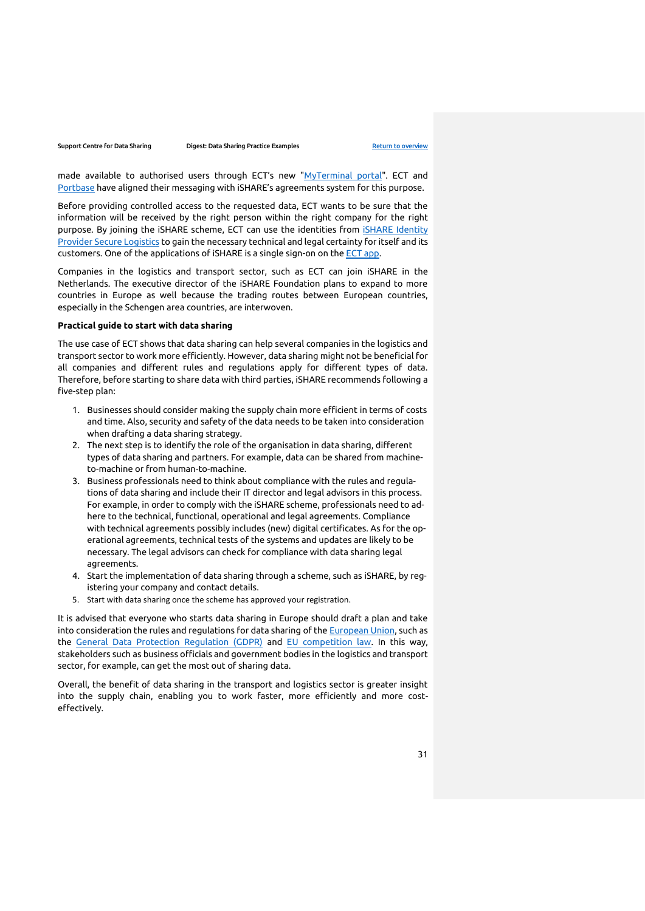made available to authorised users through ECT's new "[MyTerminal portal"](https://myterminal.ect.nl/). ECT and [Portbase](https://www.portbase.com/en/) have aligned their messaging with iSHARE's agreements system for this purpose.

Before providing controlled access to the requested data, ECT wants to be sure that the information will be received by the right person within the right company for the right purpose. By joining the iSHARE scheme, ECT can use the identities from **ISHARE** Identity [Provider Secure Logistics](https://secure-logistics.nl/en/cases/secure-logistics-identity-provider-ishare/) to gain the necessary technical and legal certainty for itself and its customers. One of the applications of iSHARE is a single sign-on on the [ECT app.](https://www.ect.nl/en/news/news-feed/ect-launches-app)

Companies in the logistics and transport sector, such as ECT can join iSHARE in the Netherlands. The executive director of the iSHARE Foundation plans to expand to more countries in Europe as well because the trading routes between European countries, especially in the Schengen area countries, are interwoven.

## **Practical guide to start with data sharing**

The use case of ECT shows that data sharing can help several companies in the logistics and transport sector to work more efficiently. However, data sharing might not be beneficial for all companies and different rules and regulations apply for different types of data. Therefore, before starting to share data with third parties, iSHARE recommends following a five-step plan:

- 1. Businesses should consider making the supply chain more efficient in terms of costs and time. Also, security and safety of the data needs to be taken into consideration when drafting a data sharing strategy.
- 2. The next step is to identify the role of the organisation in data sharing, different types of data sharing and partners. For example, data can be shared from machineto-machine or from human-to-machine.
- 3. Business professionals need to think about compliance with the rules and regulations of data sharing and include their IT director and legal advisors in this process. For example, in order to comply with the iSHARE scheme, professionals need to adhere to the technical, functional, operational and legal agreements. Compliance with technical agreements possibly includes (new) digital certificates. As for the operational agreements, technical tests of the systems and updates are likely to be necessary. The legal advisors can check for compliance with data sharing legal agreements.
- 4. Start the implementation of data sharing through a scheme, such as iSHARE, by registering your company and contact details.
- 5. Start with data sharing once the scheme has approved your registration.

It is advised that everyone who starts data sharing in Europe should draft a plan and take into consideration the rules and regulations for data sharing of th[e European Union,](https://europa.eu/) such as the [General Data Protection Regulation \(GDPR\)](https://gdpr.eu/what-is-gdpr/) and [EU competition law.](https://ec.europa.eu/competition/index_en.html) In this way, stakeholders such as business officials and government bodies in the logistics and transport sector, for example, can get the most out of sharing data.

Overall, the benefit of data sharing in the transport and logistics sector is greater insight into the supply chain, enabling you to work faster, more efficiently and more costeffectively.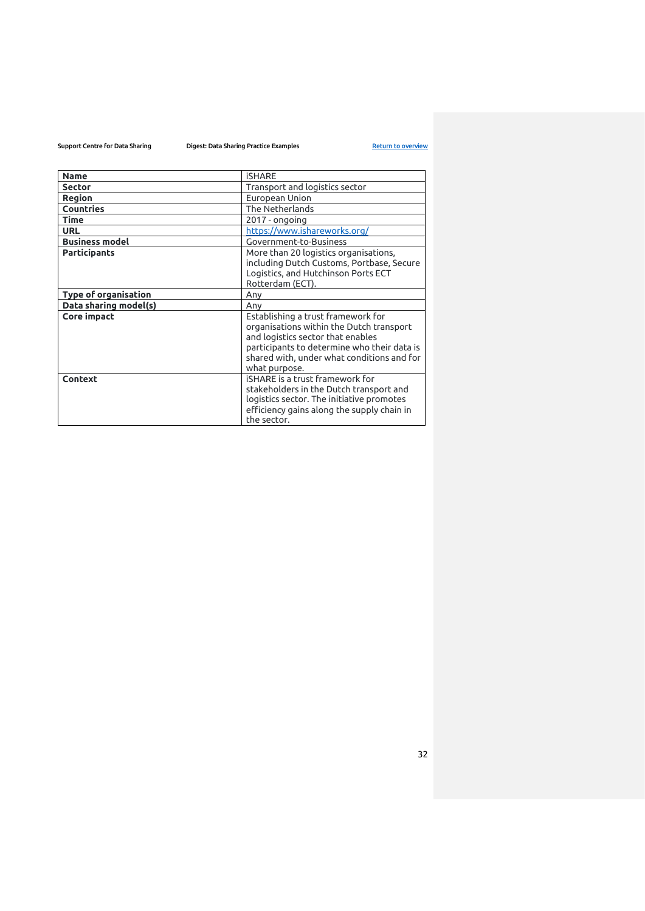# Support Centre for Data Sharing **Digest:** Data Sharing Practice Examples [Return to overview](#page-0-0)

| <b>Name</b>           | <b>iSHARE</b>                                                                                                                                                                                                                     |
|-----------------------|-----------------------------------------------------------------------------------------------------------------------------------------------------------------------------------------------------------------------------------|
| <b>Sector</b>         | Transport and logistics sector                                                                                                                                                                                                    |
| Region                | European Union                                                                                                                                                                                                                    |
| <b>Countries</b>      | The Netherlands                                                                                                                                                                                                                   |
| <b>Time</b>           | 2017 - ongoing                                                                                                                                                                                                                    |
| <b>URL</b>            | https://www.ishareworks.org/                                                                                                                                                                                                      |
| <b>Business model</b> | Government-to-Business                                                                                                                                                                                                            |
| <b>Participants</b>   | More than 20 logistics organisations,<br>including Dutch Customs, Portbase, Secure<br>Logistics, and Hutchinson Ports ECT                                                                                                         |
|                       | Rotterdam (ECT).                                                                                                                                                                                                                  |
| Type of organisation  | Any                                                                                                                                                                                                                               |
| Data sharing model(s) | Any                                                                                                                                                                                                                               |
| Core impact           | Establishing a trust framework for<br>organisations within the Dutch transport<br>and logistics sector that enables<br>participants to determine who their data is<br>shared with, under what conditions and for<br>what purpose. |
| Context               | iSHARE is a trust framework for<br>stakeholders in the Dutch transport and<br>logistics sector. The initiative promotes<br>efficiency gains along the supply chain in<br>the sector.                                              |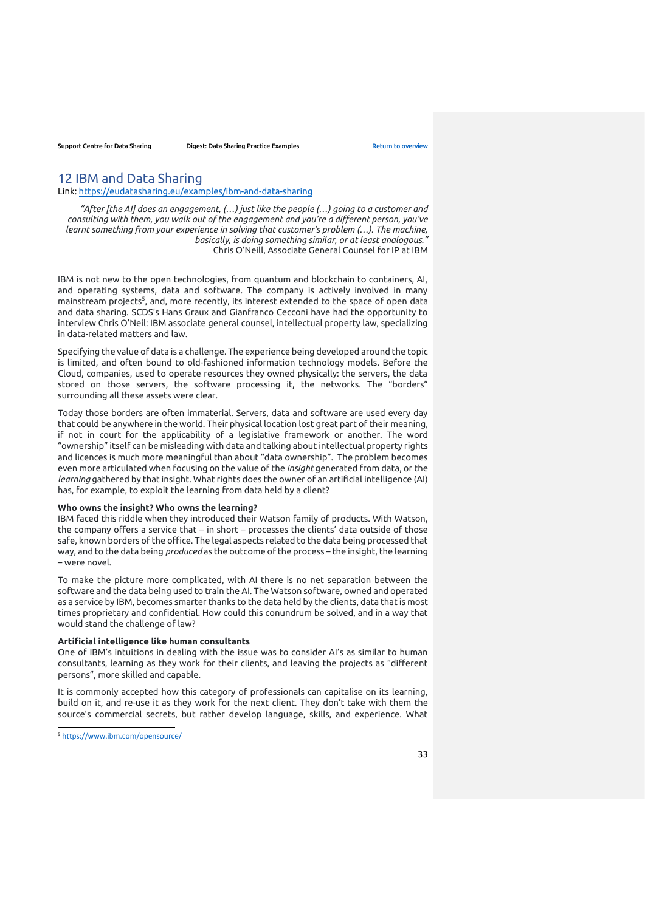# <span id="page-32-0"></span>12 IBM and Data Sharing

Link:<https://eudatasharing.eu/examples/ibm-and-data-sharing>

*"After [the AI] does an engagement, (…) just like the people (…) going to a customer and consulting with them, you walk out of the engagement and you're a different person, you've learnt something from your experience in solving that customer's problem (…). The machine, basically, is doing something similar, or at least analogous."*  Chris O'Neill, Associate General Counsel for IP at IBM

IBM is not new to the open technologies, from quantum and blockchain to containers, AI, and operating systems, data and software. The company is actively involved in many mainstream projects<sup>5</sup>, and, more recently, its interest extended to the space of open data and data sharing. SCDS's Hans Graux and Gianfranco Cecconi have had the opportunity to interview Chris O'Neil: IBM associate general counsel, intellectual property law, specializing in data-related matters and law.

Specifying the value of data is a challenge. The experience being developed around the topic is limited, and often bound to old-fashioned information technology models. Before the Cloud, companies, used to operate resources they owned physically: the servers, the data stored on those servers, the software processing it, the networks. The "borders" surrounding all these assets were clear.

Today those borders are often immaterial. Servers, data and software are used every day that could be anywhere in the world. Their physical location lost great part of their meaning, if not in court for the applicability of a legislative framework or another. The word "ownership" itself can be misleading with data and talking about intellectual property rights and licences is much more meaningful than about "data ownership". The problem becomes even more articulated when focusing on the value of the *insight* generated from data, or the *learning* gathered by that insight. What rights does the owner of an artificial intelligence (AI) has, for example, to exploit the learning from data held by a client?

## **Who owns the insight? Who owns the learning?**

IBM faced this riddle when they introduced their Watson family of products. With Watson, the company offers a service that – in short – processes the clients' data outside of those safe, known borders of the office. The legal aspects related to the data being processed that way, and to the data being *produced* as the outcome of the process – the insight, the learning – were novel.

To make the picture more complicated, with AI there is no net separation between the software and the data being used to train the AI. The Watson software, owned and operated as a service by IBM, becomes smarter thanks to the data held by the clients, data that is most times proprietary and confidential. How could this conundrum be solved, and in a way that would stand the challenge of law?

### **Artificial intelligence like human consultants**

One of IBM's intuitions in dealing with the issue was to consider AI's as similar to human consultants, learning as they work for their clients, and leaving the projects as "different persons", more skilled and capable.

It is commonly accepted how this category of professionals can capitalise on its learning, build on it, and re-use it as they work for the next client. They don't take with them the source's commercial secrets, but rather develop language, skills, and experience. What

<sup>5</sup> <https://www.ibm.com/opensource/>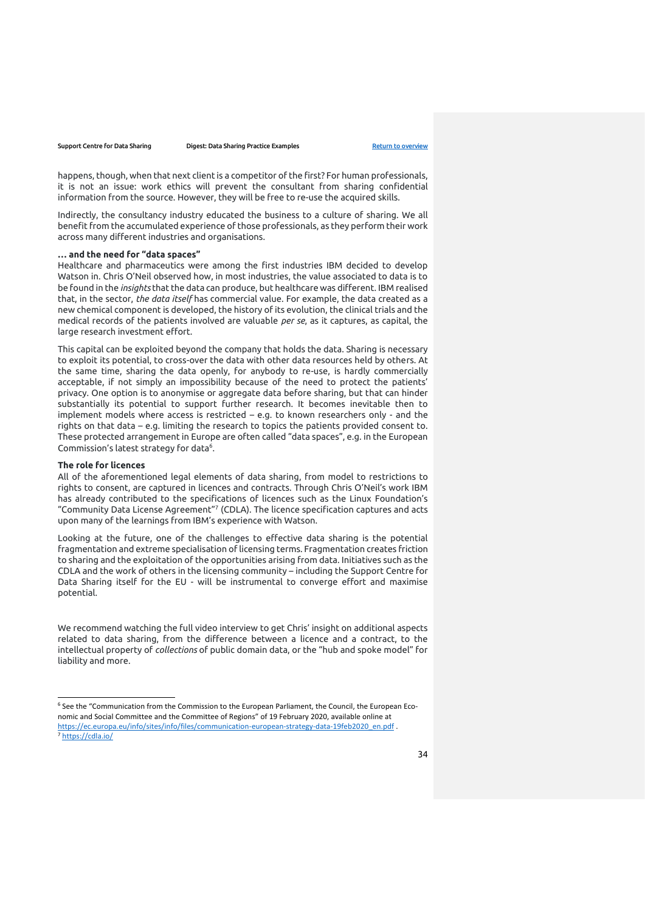happens, though, when that next client is a competitor of the first? For human professionals, it is not an issue: work ethics will prevent the consultant from sharing confidential information from the source. However, they will be free to re-use the acquired skills.

Indirectly, the consultancy industry educated the business to a culture of sharing. We all benefit from the accumulated experience of those professionals, as they perform their work across many different industries and organisations.

### **… and the need for "data spaces"**

Healthcare and pharmaceutics were among the first industries IBM decided to develop Watson in. Chris O'Neil observed how, in most industries, the value associated to data is to be found in the *insights* that the data can produce, but healthcare was different. IBM realised that, in the sector, *the data itself* has commercial value. For example, the data created as a new chemical component is developed, the history of its evolution, the clinical trials and the medical records of the patients involved are valuable *per se*, as it captures, as capital, the large research investment effort.

This capital can be exploited beyond the company that holds the data. Sharing is necessary to exploit its potential, to cross-over the data with other data resources held by others. At the same time, sharing the data openly, for anybody to re-use, is hardly commercially acceptable, if not simply an impossibility because of the need to protect the patients' privacy. One option is to anonymise or aggregate data before sharing, but that can hinder substantially its potential to support further research. It becomes inevitable then to implement models where access is restricted – e.g. to known researchers only - and the rights on that data – e.g. limiting the research to topics the patients provided consent to. These protected arrangement in Europe are often called "data spaces", e.g. in the European Commission's latest strategy for data<sup>6</sup>.

### **The role for licences**

All of the aforementioned legal elements of data sharing, from model to restrictions to rights to consent, are captured in licences and contracts. Through Chris O'Neil's work IBM has already contributed to the specifications of licences such as the Linux Foundation's "Community Data License Agreement"<sup>7</sup> (CDLA). The licence specification captures and acts upon many of the learnings from IBM's experience with Watson.

Looking at the future, one of the challenges to effective data sharing is the potential fragmentation and extreme specialisation of licensing terms. Fragmentation creates friction to sharing and the exploitation of the opportunities arising from data. Initiatives such as the CDLA and the work of others in the licensing community – including the Support Centre for Data Sharing itself for the EU - will be instrumental to converge effort and maximise potential.

We recommend watching the full video interview to get Chris' insight on additional aspects related to data sharing, from the difference between a licence and a contract, to the intellectual property of *collections* of public domain data, or the "hub and spoke model" for liability and more.

<sup>6</sup> See the "Communication from the Commission to the European Parliament, the Council, the European Economic and Social Committee and the Committee of Regions" of 19 February 2020, available online at [https://ec.europa.eu/info/sites/info/files/communication-european-strategy-data-19feb2020\\_en.pdf](https://ec.europa.eu/info/sites/info/files/communication-european-strategy-data-19feb2020_en.pdf) . https://cdla.jo/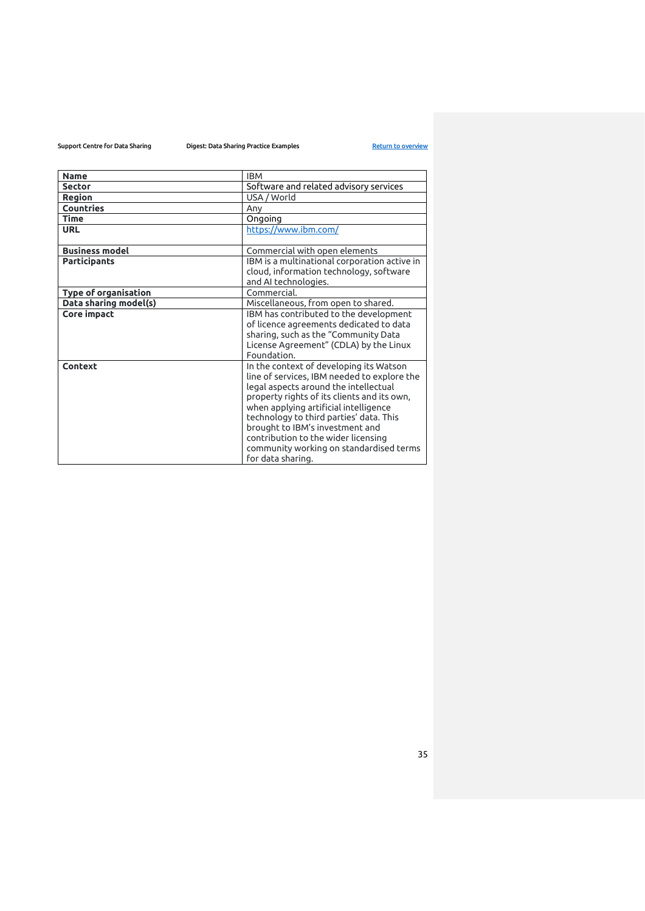| <b>Name</b>           | <b>IBM</b>                                                                                                                                                                                                                                                                                                                                                                                                   |
|-----------------------|--------------------------------------------------------------------------------------------------------------------------------------------------------------------------------------------------------------------------------------------------------------------------------------------------------------------------------------------------------------------------------------------------------------|
| <b>Sector</b>         | Software and related advisory services                                                                                                                                                                                                                                                                                                                                                                       |
| <b>Region</b>         | USA / World                                                                                                                                                                                                                                                                                                                                                                                                  |
| Countries             | Any                                                                                                                                                                                                                                                                                                                                                                                                          |
| <b>Time</b>           | Ongoing                                                                                                                                                                                                                                                                                                                                                                                                      |
| <b>URL</b>            | https://www.ibm.com/                                                                                                                                                                                                                                                                                                                                                                                         |
| <b>Business model</b> | Commercial with open elements                                                                                                                                                                                                                                                                                                                                                                                |
| <b>Participants</b>   | IBM is a multinational corporation active in<br>cloud, information technology, software<br>and AI technologies.                                                                                                                                                                                                                                                                                              |
| Type of organisation  | Commercial.                                                                                                                                                                                                                                                                                                                                                                                                  |
| Data sharing model(s) | Miscellaneous, from open to shared.                                                                                                                                                                                                                                                                                                                                                                          |
| Core impact           | IBM has contributed to the development<br>of licence agreements dedicated to data<br>sharing, such as the "Community Data<br>License Agreement" (CDLA) by the Linux<br>Foundation.                                                                                                                                                                                                                           |
| Context               | In the context of developing its Watson<br>line of services, IBM needed to explore the<br>legal aspects around the intellectual<br>property rights of its clients and its own,<br>when applying artificial intelligence<br>technology to third parties' data. This<br>brought to IBM's investment and<br>contribution to the wider licensing<br>community working on standardised terms<br>for data sharing. |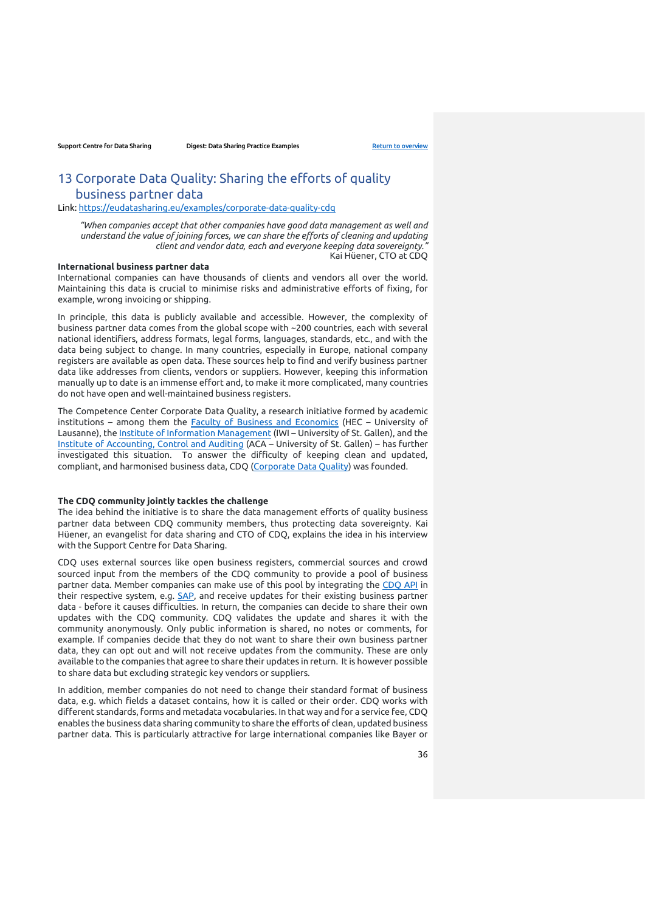# <span id="page-35-0"></span>13 Corporate Data Quality: Sharing the efforts of quality business partner data

Link:<https://eudatasharing.eu/examples/corporate-data-quality-cdq>

*"When companies accept that other companies have good data management as well and understand the value of joining forces, we can share the efforts of cleaning and updating client and vendor data, each and everyone keeping data sovereignty."*  Kai Hüener, CTO at CDQ

# **International business partner data**

International companies can have thousands of clients and vendors all over the world. Maintaining this data is crucial to minimise risks and administrative efforts of fixing, for example, wrong invoicing or shipping.

In principle, this data is publicly available and accessible. However, the complexity of business partner data comes from the global scope with ~200 countries, each with several national identifiers, address formats, legal forms, languages, standards, etc., and with the data being subject to change. In many countries, especially in Europe, national company registers are available as open data. These sources help to find and verify business partner data like addresses from clients, vendors or suppliers. However, keeping this information manually up to date is an immense effort and, to make it more complicated, many countries do not have open and well-maintained business registers.

The Competence Center Corporate Data Quality, a research initiative formed by academic institutions – among them the [Faculty of Business and Economics](https://www.unil.ch/hec/fr/home.html) (HEC – University of Lausanne), th[e Institute of Information Management](https://www.iwi.unisg.ch/en/) (IWI – University of St. Gallen), and the [Institute of Accounting, Control and Auditing](https://aca.unisg.ch/en) (ACA – University of St. Gallen) – has further investigated this situation. To answer the difficulty of keeping clean and updated, compliant, and harmonised business data, CDQ [\(Corporate Data Quality\)](https://www.cc-cdq.ch/) was founded.

### **The CDQ community jointly tackles the challenge**

The idea behind the initiative is to share the data management efforts of quality business partner data between CDQ community members, thus protecting data sovereignty. Kai Hüener, an evangelist for data sharing and CTO of CDQ, explains the idea in his interview with the Support Centre for Data Sharing.

CDQ uses external sources like open business registers, commercial sources and crowd sourced input from the members of the CDQ community to provide a pool of business partner data. Member companies can make use of this pool by integrating the [CDQ API](https://meta.cdq.ch/CDQ_API) in their respective system, e.g. [SAP,](https://www.sap.com/index.html) and receive updates for their existing business partner data - before it causes difficulties. In return, the companies can decide to share their own updates with the CDQ community. CDQ validates the update and shares it with the community anonymously. Only public information is shared, no notes or comments, for example. If companies decide that they do not want to share their own business partner data, they can opt out and will not receive updates from the community. These are only available to the companies that agree to share their updates in return. It is however possible to share data but excluding strategic key vendors or suppliers.

In addition, member companies do not need to change their standard format of business data, e.g. which fields a dataset contains, how it is called or their order. CDQ works with different standards, forms and metadata vocabularies. In that way and for a service fee, CDQ enables the business data sharing community to share the efforts of clean, updated business partner data. This is particularly attractive for large international companies like Bayer or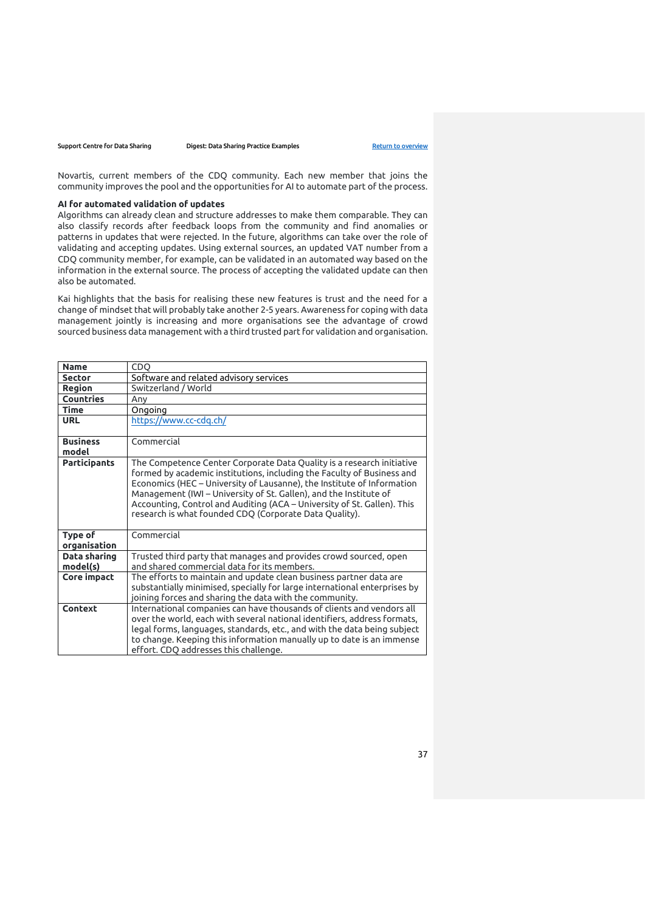Novartis, current members of the CDQ community. Each new member that joins the community improves the pool and the opportunities for AI to automate part of the process.

### **AI for automated validation of updates**

Algorithms can already clean and structure addresses to make them comparable. They can also classify records after feedback loops from the community and find anomalies or patterns in updates that were rejected. In the future, algorithms can take over the role of validating and accepting updates. Using external sources, an updated VAT number from a CDQ community member, for example, can be validated in an automated way based on the information in the external source. The process of accepting the validated update can then also be automated.

Kai highlights that the basis for realising these new features is trust and the need for a change of mindset that will probably take another 2-5 years. Awareness for coping with data management jointly is increasing and more organisations see the advantage of crowd sourced business data management with a third trusted part for validation and organisation.

| <b>Name</b>              | <b>CDO</b>                                                                                                                                                                                                                                                                                                                                                                                                                          |
|--------------------------|-------------------------------------------------------------------------------------------------------------------------------------------------------------------------------------------------------------------------------------------------------------------------------------------------------------------------------------------------------------------------------------------------------------------------------------|
| <b>Sector</b>            | Software and related advisory services                                                                                                                                                                                                                                                                                                                                                                                              |
| <b>Region</b>            | Switzerland / World                                                                                                                                                                                                                                                                                                                                                                                                                 |
| <b>Countries</b>         | Anv                                                                                                                                                                                                                                                                                                                                                                                                                                 |
| <b>Time</b>              | Ongoing                                                                                                                                                                                                                                                                                                                                                                                                                             |
| <b>URL</b>               | https://www.cc-cdq.ch/                                                                                                                                                                                                                                                                                                                                                                                                              |
| <b>Business</b><br>model | Commercial                                                                                                                                                                                                                                                                                                                                                                                                                          |
| <b>Participants</b>      | The Competence Center Corporate Data Quality is a research initiative<br>formed by academic institutions, including the Faculty of Business and<br>Economics (HEC - University of Lausanne), the Institute of Information<br>Management (IWI - University of St. Gallen), and the Institute of<br>Accounting, Control and Auditing (ACA – University of St. Gallen). This<br>research is what founded CDQ (Corporate Data Quality). |
| Type of<br>organisation  | Commercial                                                                                                                                                                                                                                                                                                                                                                                                                          |
| Data sharing<br>model(s) | Trusted third party that manages and provides crowd sourced, open<br>and shared commercial data for its members.                                                                                                                                                                                                                                                                                                                    |
| Core impact              | The efforts to maintain and update clean business partner data are<br>substantially minimised, specially for large international enterprises by<br>joining forces and sharing the data with the community.                                                                                                                                                                                                                          |
| Context                  | International companies can have thousands of clients and vendors all<br>over the world, each with several national identifiers, address formats,<br>legal forms, languages, standards, etc., and with the data being subject<br>to change. Keeping this information manually up to date is an immense<br>effort. CDQ addresses this challenge.                                                                                     |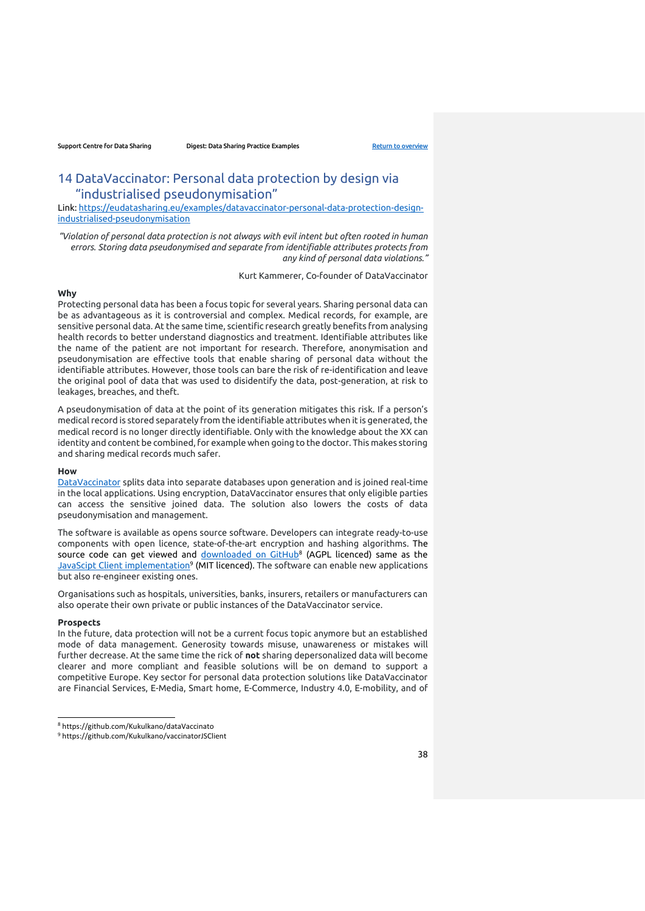# <span id="page-37-0"></span>14 DataVaccinator: Personal data protection by design via "industrialised pseudonymisation"

Link: [https://eudatasharing.eu/examples/datavaccinator-personal-data-protection-design](https://eudatasharing.eu/examples/datavaccinator-personal-data-protection-design-industrialised-pseudonymisation)[industrialised-pseudonymisation](https://eudatasharing.eu/examples/datavaccinator-personal-data-protection-design-industrialised-pseudonymisation)

*"Violation of personal data protection is not always with evil intent but often rooted in human errors. Storing data pseudonymised and separate from identifiable attributes protects from any kind of personal data violations."* 

Kurt Kammerer, Co-founder of DataVaccinator

# **Why**

Protecting personal data has been a focus topic for several years. Sharing personal data can be as advantageous as it is controversial and complex. Medical records, for example, are sensitive personal data. At the same time, scientific research greatly benefits from analysing health records to better understand diagnostics and treatment. Identifiable attributes like the name of the patient are not important for research. Therefore, anonymisation and pseudonymisation are effective tools that enable sharing of personal data without the identifiable attributes. However, those tools can bare the risk of re-identification and leave the original pool of data that was used to disidentify the data, post-generation, at risk to leakages, breaches, and theft.

A pseudonymisation of data at the point of its generation mitigates this risk. If a person's medical record is stored separately from the identifiable attributes when it is generated, the medical record is no longer directly identifiable. Only with the knowledge about the XX can identity and content be combined, for example when going to the doctor. This makes storing and sharing medical records much safer.

#### **How**

[DataVaccinator](https://www.datavaccinator.com/) splits data into separate databases upon generation and is joined real-time in the local applications. Using encryption, DataVaccinator ensures that only eligible parties can access the sensitive joined data. The solution also lowers the costs of data pseudonymisation and management.

The software is available as opens source software. Developers can integrate ready-to-use components with open licence, state-of-the-art encryption and hashing algorithms. The source code can get viewed and <u>[downloaded on GitHub](https://github.com/Kukulkano/dataVaccinator)</u>8 (AGPL licenced) same as the [JavaScipt Client implementation](https://github.com/Kukulkano/vaccinatorJSClient)<sup>9</sup> (MIT licenced). The software can enable new applications but also re-engineer existing ones.

Organisations such as hospitals, universities, banks, insurers, retailers or manufacturers can also operate their own private or public instances of the DataVaccinator service.

### **Prospects**

In the future, data protection will not be a current focus topic anymore but an established mode of data management. Generosity towards misuse, unawareness or mistakes will further decrease. At the same time the rick of **not** sharing depersonalized data will become clearer and more compliant and feasible solutions will be on demand to support a competitive Europe. Key sector for personal data protection solutions like DataVaccinator are Financial Services, E-Media, Smart home, E-Commerce, Industry 4.0, E-mobility, and of

<sup>8</sup> https://github.com/Kukulkano/dataVaccinato

<sup>9</sup> https://github.com/Kukulkano/vaccinatorJSClient